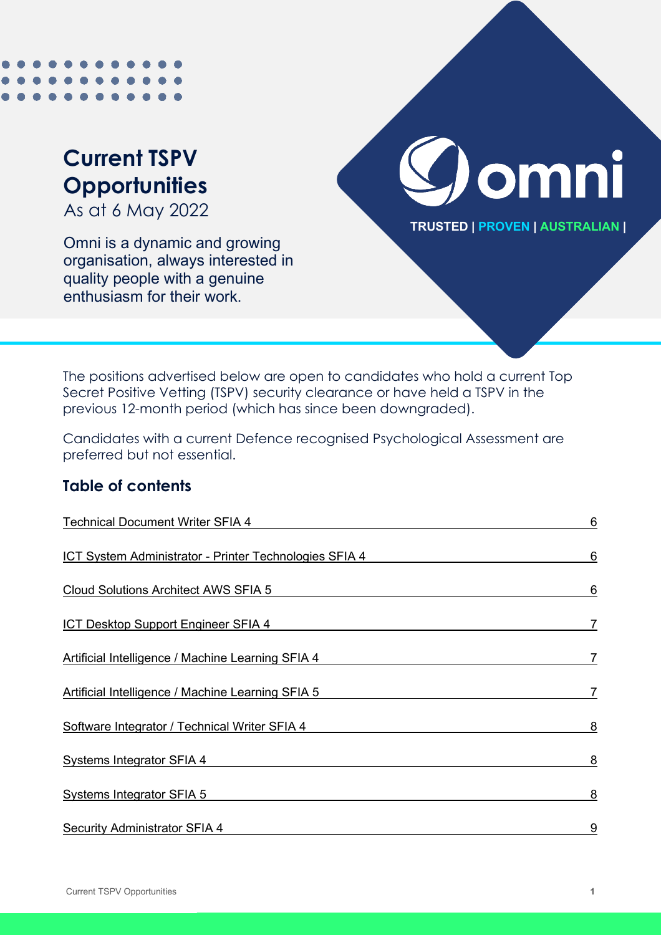# **Current TSPV Opportunities**

As at 6 May 2022

Omni is a dynamic and growing organisation, always interested in quality people with a genuine enthusiasm for their work.



**TRUSTED | PROVEN | AUSTRALIAN |**

The positions advertised below are open to candidates who hold a current Top Secret Positive Vetting (TSPV) security clearance or have held a TSPV in the previous 12-month period (which has since been downgraded).

Candidates with a current Defence recognised Psychological Assessment are preferred but not essential.

### **Table of contents**

| <b>Technical Document Writer SFIA 4</b>                | 6 |
|--------------------------------------------------------|---|
| ICT System Administrator - Printer Technologies SFIA 4 | 6 |
| <b>Cloud Solutions Architect AWS SFIA 5</b>            | 6 |
| ICT Desktop Support Engineer SFIA 4                    | 7 |
| Artificial Intelligence / Machine Learning SFIA 4      | 7 |
| Artificial Intelligence / Machine Learning SFIA 5      | 7 |
| Software Integrator / Technical Writer SFIA 4          | 8 |
| <b>Systems Integrator SFIA 4</b>                       | 8 |
| <b>Systems Integrator SFIA 5</b>                       | 8 |
| <b>Security Administrator SFIA 4</b>                   | 9 |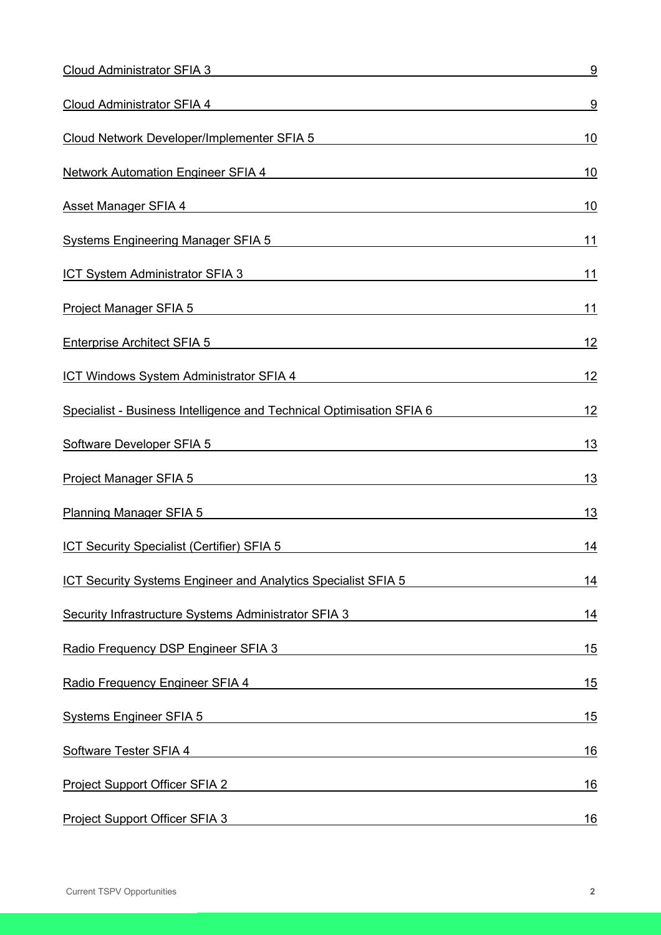| <b>Cloud Administrator SFIA 3</b>                                                                                                                                                                                              | 9          |
|--------------------------------------------------------------------------------------------------------------------------------------------------------------------------------------------------------------------------------|------------|
| Cloud Administrator SFIA 4 Services and Services and Services and Services and Services and Services and Services and Services and Services and Services and Services and Services and Services and Services and Services and  | 9          |
| Cloud Network Developer/Implementer SFIA 5                                                                                                                                                                                     | <u>10</u>  |
| Network Automation Engineer SFIA 4 Network and the control of the control of the control of the control of the control of the control of the control of the control of the control of the control of the control of the contro | 10         |
| Asset Manager SFIA 4 and 200 million and 200 million and 200 million and 200 million and 200 million and 200 million                                                                                                           | 10         |
| Systems Engineering Manager SFIA 5                                                                                                                                                                                             | <u>11</u>  |
| <b>ICT System Administrator SFIA 3</b><br><u> 1989 - Johann Barn, amerikansk politiker (d. 1989)</u>                                                                                                                           | 11         |
| <b>Project Manager SFIA 5</b>                                                                                                                                                                                                  | 11         |
| <b>Enterprise Architect SFIA 5</b><br><u> 1989 - Johann Stein, mars an deus Amerikaansk kommunister (</u>                                                                                                                      | 12         |
| ICT Windows System Administrator SFIA 4                                                                                                                                                                                        | <u> 12</u> |
| Specialist - Business Intelligence and Technical Optimisation SFIA 6                                                                                                                                                           | <u>12</u>  |
| Software Developer SFIA 5                                                                                                                                                                                                      | <u> 13</u> |
| Project Manager SFIA 5 and the contract of the contract of the contract of the contract of the contract of the                                                                                                                 | <u> 13</u> |
| Planning Manager SFIA 5 and the control of the control of the control of the control of the control of the control of the control of the control of the control of the control of the control of the control of the control of | 13         |
| <b>ICT Security Specialist (Certifier) SFIA 5</b>                                                                                                                                                                              | <u>14</u>  |
| ICT Security Systems Engineer and Analytics Specialist SFIA 5                                                                                                                                                                  | 14         |
| Security Infrastructure Systems Administrator SFIA 3                                                                                                                                                                           | 14         |
| Radio Frequency DSP Engineer SFIA 3                                                                                                                                                                                            | 15         |
| Radio Frequency Engineer SFIA 4 and 200 million and 200 million and 200 million and 200 million and 200 million                                                                                                                | 15         |
| <b>Systems Engineer SFIA 5</b>                                                                                                                                                                                                 | 15         |
| Software Tester SFIA 4<br><u> 1989 - Johann John Stone, markin film yn y brening yn y brening yn y brening y brening yn y brening y brenin</u>                                                                                 | 16         |
| Project Support Officer SFIA 2                                                                                                                                                                                                 | <u> 16</u> |
| Project Support Officer SFIA 3                                                                                                                                                                                                 | <u> 16</u> |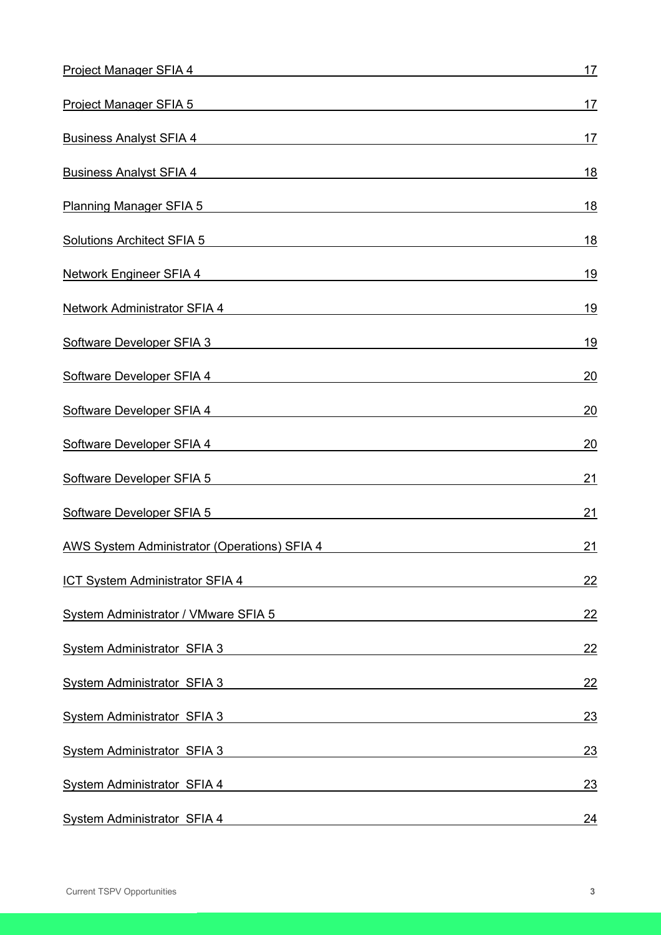| Project Manager SFIA 4                                                                                                                                                                                                             | <u>17</u>       |
|------------------------------------------------------------------------------------------------------------------------------------------------------------------------------------------------------------------------------------|-----------------|
| Project Manager SFIA 5 and the contract of the contract of the contract of the contract of the contract of the                                                                                                                     | 17              |
| <b>Business Analyst SFIA 4</b> and the state of the state of the state of the state of the state of the state of the state of the state of the state of the state of the state of the state of the state of the state of the state | <u>17</u>       |
| <b>Business Analyst SFIA 4</b> and the state of the state of the state of the state of the state of the state of the state of the state of the state of the state of the state of the state of the state of the state of the state | <u> 18</u>      |
| Planning Manager SFIA 5 Second Second Second Second Second Second Second Second Second Second Second Second Second Second Second Second Second Second Second Second Second Second Second Second Second Second Second Second Se     | 18              |
| <b>Solutions Architect SFIA 5</b><br><u> 1980 - Johann Barbara, martxa eta batarra (h. 1980).</u>                                                                                                                                  | <u> 18</u>      |
| <b>Network Engineer SFIA 4</b>                                                                                                                                                                                                     | <u>19</u>       |
| Network Administrator SFIA 4 Second Second Second Second Second Second Second Second Second Second Second Second Second Second Second Second Second Second Second Second Second Second Second Second Second Second Second Seco     | <u> 19</u>      |
| Software Developer SFIA 3                                                                                                                                                                                                          | <u>19</u>       |
| Software Developer SFIA 4 Software Developer SFIA 4                                                                                                                                                                                | 20              |
| Software Developer SFIA 4 Software Developer SFIA 4                                                                                                                                                                                | 20              |
| Software Developer SFIA 4                                                                                                                                                                                                          | $\overline{20}$ |
| Software Developer SFIA 5                                                                                                                                                                                                          | <u>21</u>       |
| Software Developer SFIA 5                                                                                                                                                                                                          | <u>21</u>       |
| <b>AWS System Administrator (Operations) SFIA 4</b>                                                                                                                                                                                | 21              |
| <b>ICT System Administrator SFIA 4</b>                                                                                                                                                                                             | 22              |
| System Administrator / VMware SFIA 5                                                                                                                                                                                               | <u>22</u>       |
| <b>System Administrator SFIA 3</b>                                                                                                                                                                                                 | <u>22</u>       |
| <b>System Administrator SFIA 3</b>                                                                                                                                                                                                 | 22              |
| <b>System Administrator SFIA 3</b>                                                                                                                                                                                                 | 23              |
| <b>System Administrator SFIA 3</b>                                                                                                                                                                                                 | 23              |
| <b>System Administrator SFIA 4</b><br><u> 1989 - Johann Stein, mars an de Brazilia (b. 1989)</u>                                                                                                                                   | <u>23</u>       |
| <b>System Administrator SFIA 4</b><br><u> 1989 - Johann Stoff, Amerikaansk politiker (</u>                                                                                                                                         | <u>24</u>       |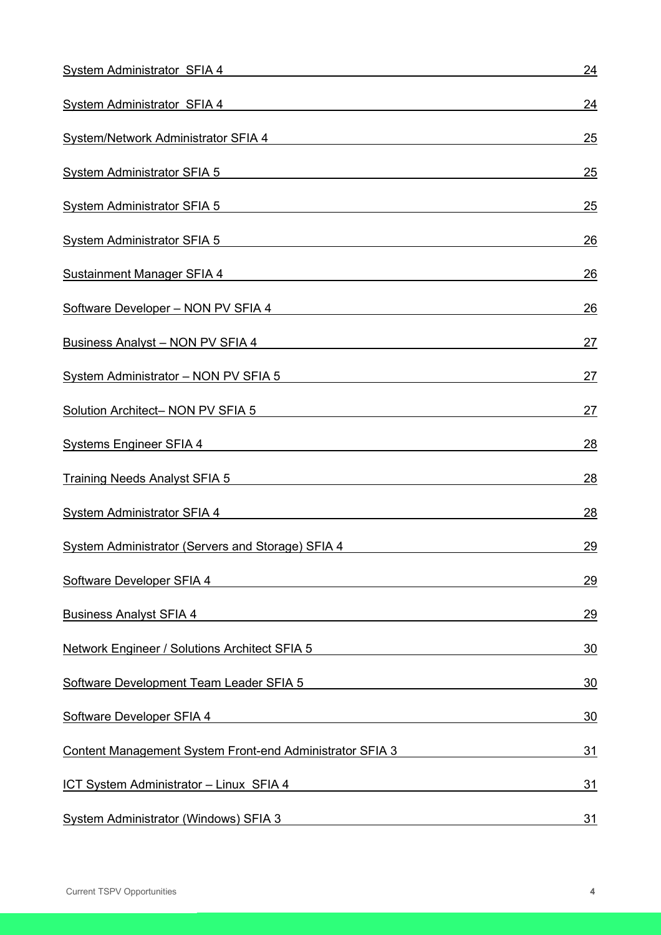| <b>System Administrator SFIA 4</b>                                                                                                                                                                                                  | <u>24</u>  |
|-------------------------------------------------------------------------------------------------------------------------------------------------------------------------------------------------------------------------------------|------------|
| System Administrator SFIA 4 System Administrator SFIA 4                                                                                                                                                                             | <u>24</u>  |
| System/Network Administrator SFIA 4                                                                                                                                                                                                 | 25         |
| <b>System Administrator SFIA 5</b><br><u> 1989 - John Stein, Amerikaansk politiker (* 1989)</u>                                                                                                                                     | 25         |
| <b>System Administrator SFIA 5</b>                                                                                                                                                                                                  | 25         |
| <b>System Administrator SFIA 5</b><br><u> 1980 - Johann John Stein, fransk politik (f. 1980)</u>                                                                                                                                    | 26         |
| <b>Sustainment Manager SFIA 4</b>                                                                                                                                                                                                   | 26         |
| Software Developer - NON PV SFIA 4                                                                                                                                                                                                  | 26         |
| <b>Business Analyst - NON PV SFIA 4</b> Material and the state of the state of the state of the state of the state of the state of the state of the state of the state of the state of the state of the state of the state of the s | 27         |
| <b>System Administrator - NON PV SFIA 5</b>                                                                                                                                                                                         | <u> 27</u> |
| Solution Architect- NON PV SFIA 5                                                                                                                                                                                                   | <u>27</u>  |
| Systems Engineer SFIA 4 and the state of the state of the state of the state of the state of the state of the                                                                                                                       | 28         |
| <b>Training Needs Analyst SFIA 5</b> The Contract of the Contract of Training Needs Analyst SFIA 5                                                                                                                                  | <u> 28</u> |
| System Administrator SFIA 4 System Administrator SFIA 4                                                                                                                                                                             | 28         |
| <b>System Administrator (Servers and Storage) SFIA 4</b>                                                                                                                                                                            | <u>29</u>  |
| <b>Software Developer SFIA 4</b>                                                                                                                                                                                                    | 29         |
| <b>Business Analyst SFIA 4</b>                                                                                                                                                                                                      | 29         |
| <b>Network Engineer / Solutions Architect SFIA 5</b>                                                                                                                                                                                | 30         |
| Software Development Team Leader SFIA 5                                                                                                                                                                                             | 30         |
| Software Developer SFIA 4                                                                                                                                                                                                           | 30         |
| <b>Content Management System Front-end Administrator SFIA 3</b>                                                                                                                                                                     | <u>31</u>  |
| ICT System Administrator - Linux SFIA 4                                                                                                                                                                                             | <u>31</u>  |
| <b>System Administrator (Windows) SFIA 3</b>                                                                                                                                                                                        | <u>31</u>  |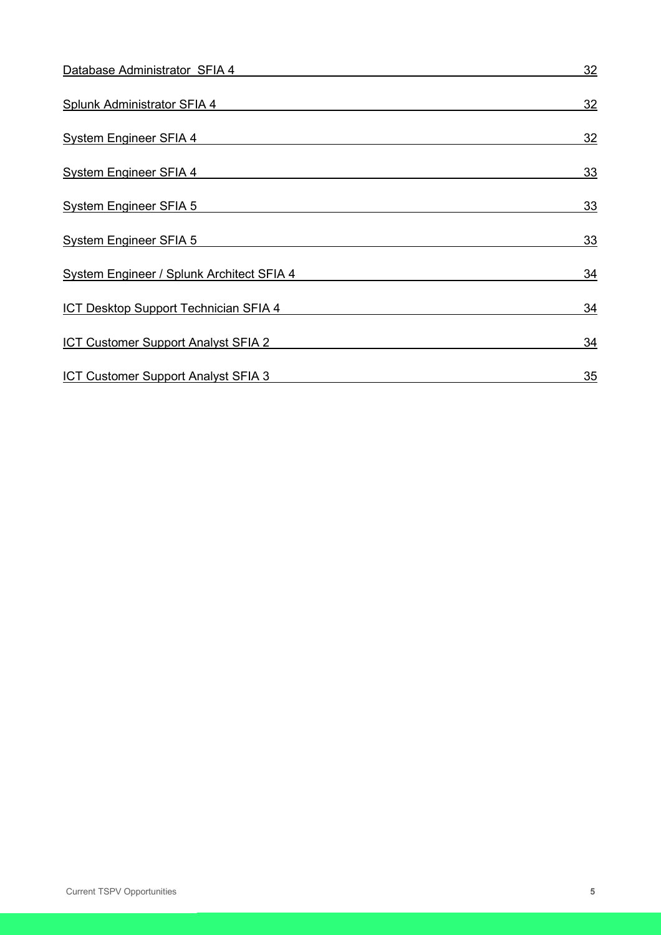| Database Administrator SFIA 4                    | 32        |
|--------------------------------------------------|-----------|
| <b>Splunk Administrator SFIA 4</b>               | 32        |
| <b>System Engineer SFIA 4</b>                    | 32        |
| <b>System Engineer SFIA 4</b>                    | 33        |
| <b>System Engineer SFIA 5</b>                    | 33        |
| <b>System Engineer SFIA 5</b>                    | <u>33</u> |
| <b>System Engineer / Splunk Architect SFIA 4</b> | 34        |
| ICT Desktop Support Technician SFIA 4            | 34        |
| <b>ICT Customer Support Analyst SFIA 2</b>       | 34        |
| ICT Customer Support Analyst SFIA 3              | 35        |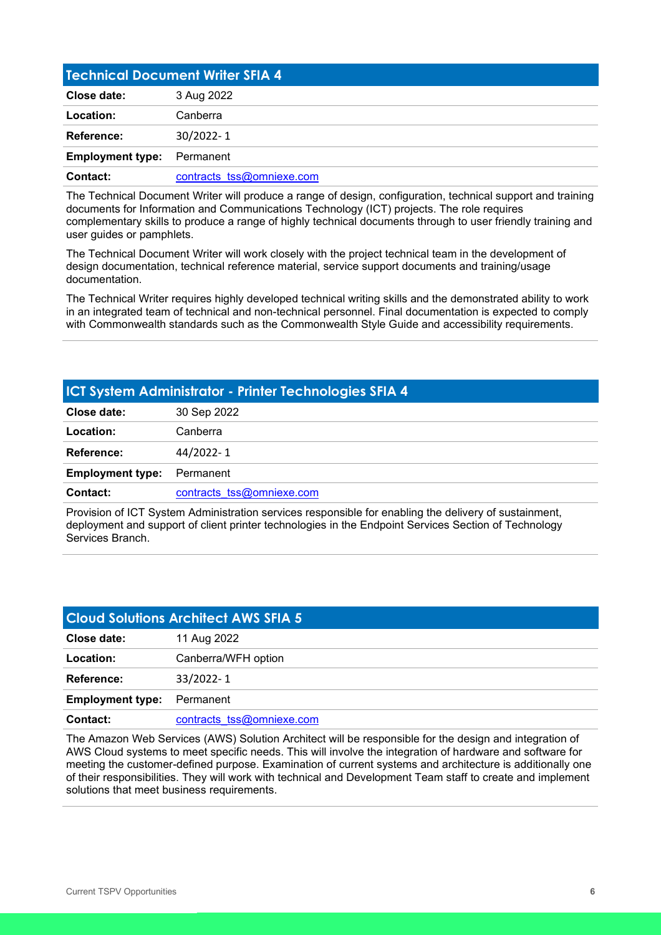<span id="page-5-0"></span>

| <b>Technical Document Writer SFIA 4</b> |                           |
|-----------------------------------------|---------------------------|
| Close date:                             | 3 Aug 2022                |
| Location:                               | Canberra                  |
| <b>Reference:</b>                       | 30/2022-1                 |
| <b>Employment type:</b>                 | Permanent                 |
| Contact:                                | contracts tss@omniexe.com |

The Technical Document Writer will produce a range of design, configuration, technical support and training documents for Information and Communications Technology (ICT) projects. The role requires complementary skills to produce a range of highly technical documents through to user friendly training and user guides or pamphlets.

The Technical Document Writer will work closely with the project technical team in the development of design documentation, technical reference material, service support documents and training/usage documentation.

The Technical Writer requires highly developed technical writing skills and the demonstrated ability to work in an integrated team of technical and non-technical personnel. Final documentation is expected to comply with Commonwealth standards such as the Commonwealth Style Guide and accessibility requirements.

#### <span id="page-5-1"></span>**ICT System Administrator - Printer Technologies SFIA 4**

| Close date:             | 30 Sep 2022               |
|-------------------------|---------------------------|
| Location:               | Canberra                  |
| <b>Reference:</b>       | 44/2022-1                 |
| <b>Employment type:</b> | Permanent                 |
| Contact:                | contracts tss@omniexe.com |
|                         | .                         |

Provision of ICT System Administration services responsible for enabling the delivery of sustainment, deployment and support of client printer technologies in the Endpoint Services Section of Technology Services Branch.

<span id="page-5-2"></span>

| <b>Cloud Solutions Architect AWS SFIA 5</b> |                           |
|---------------------------------------------|---------------------------|
| Close date:                                 | 11 Aug 2022               |
| Location:                                   | Canberra/WFH option       |
| <b>Reference:</b>                           | 33/2022-1                 |
| <b>Employment type:</b>                     | Permanent                 |
| Contact:                                    | contracts tss@omniexe.com |

The Amazon Web Services (AWS) Solution Architect will be responsible for the design and integration of AWS Cloud systems to meet specific needs. This will involve the integration of hardware and software for meeting the customer-defined purpose. Examination of current systems and architecture is additionally one of their responsibilities. They will work with technical and Development Team staff to create and implement solutions that meet business requirements.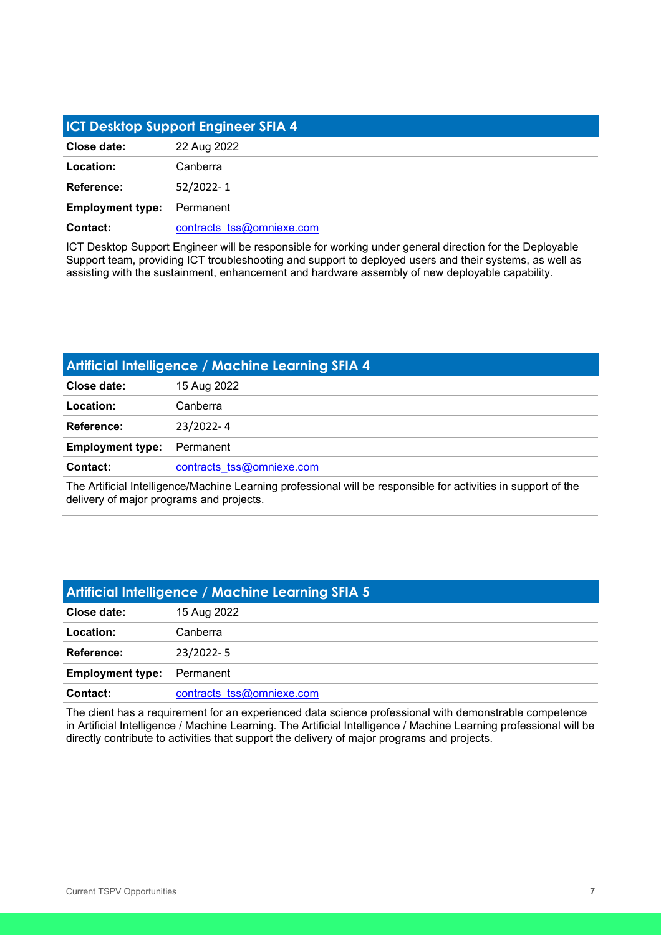<span id="page-6-0"></span>

| <b>ICT Desktop Support Engineer SFIA 4</b> |                           |
|--------------------------------------------|---------------------------|
| Close date:                                | 22 Aug 2022               |
| Location:                                  | Canberra                  |
| Reference:                                 | 52/2022-1                 |
| <b>Employment type:</b>                    | Permanent                 |
| Contact:                                   | contracts tss@omniexe.com |

ICT Desktop Support Engineer will be responsible for working under general direction for the Deployable Support team, providing ICT troubleshooting and support to deployed users and their systems, as well as assisting with the sustainment, enhancement and hardware assembly of new deployable capability.

<span id="page-6-1"></span>

| Artificial Intelligence / Machine Learning SFIA 4 |                           |
|---------------------------------------------------|---------------------------|
| Close date:                                       | 15 Aug 2022               |
| Location:                                         | Canberra                  |
| <b>Reference:</b>                                 | 23/2022-4                 |
| <b>Employment type:</b>                           | Permanent                 |
| <b>Contact:</b>                                   | contracts tss@omniexe.com |
|                                                   |                           |

The Artificial Intelligence/Machine Learning professional will be responsible for activities in support of the delivery of major programs and projects.

<span id="page-6-2"></span>

| <b>Artificial Intelligence / Machine Learning SFIA 5</b> |                           |
|----------------------------------------------------------|---------------------------|
| Close date:                                              | 15 Aug 2022               |
| Location:                                                | Canberra                  |
| Reference:                                               | 23/2022-5                 |
| <b>Employment type:</b>                                  | Permanent                 |
| <b>Contact:</b>                                          | contracts tss@omniexe.com |

The client has a requirement for an experienced data science professional with demonstrable competence in Artificial Intelligence / Machine Learning. The Artificial Intelligence / Machine Learning professional will be directly contribute to activities that support the delivery of major programs and projects.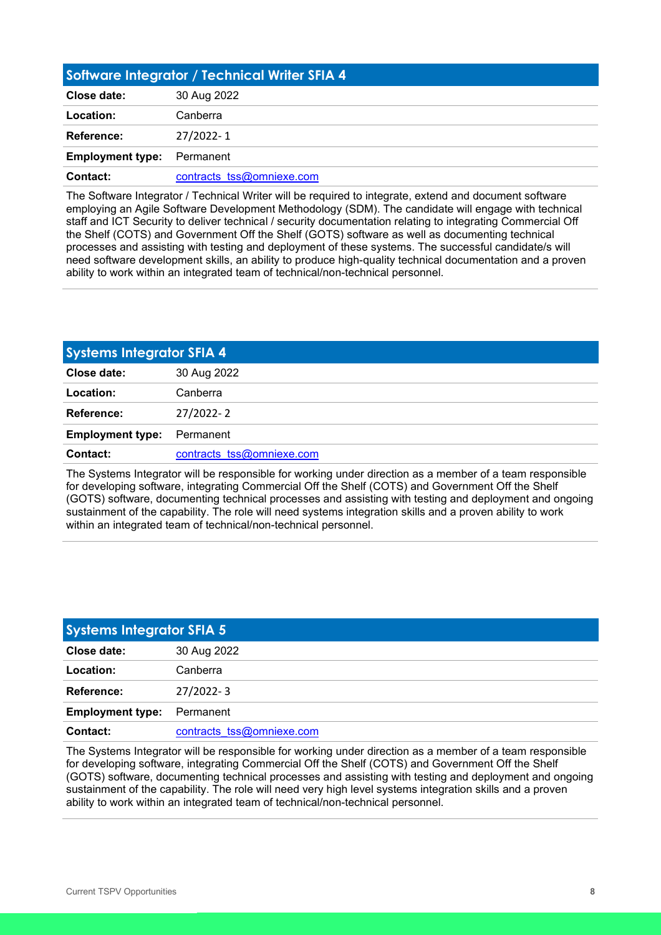<span id="page-7-0"></span>

| Software Integrator / Technical Writer SFIA 4 |                           |
|-----------------------------------------------|---------------------------|
| Close date:                                   | 30 Aug 2022               |
| Location:                                     | Canberra                  |
| Reference:                                    | 27/2022-1                 |
| <b>Employment type:</b>                       | Permanent                 |
| Contact:                                      | contracts tss@omniexe.com |

The Software Integrator / Technical Writer will be required to integrate, extend and document software employing an Agile Software Development Methodology (SDM). The candidate will engage with technical staff and ICT Security to deliver technical / security documentation relating to integrating Commercial Off the Shelf (COTS) and Government Off the Shelf (GOTS) software as well as documenting technical processes and assisting with testing and deployment of these systems. The successful candidate/s will need software development skills, an ability to produce high-quality technical documentation and a proven ability to work within an integrated team of technical/non-technical personnel.

<span id="page-7-1"></span>

| <b>Systems Integrator SFIA 4</b> |                           |
|----------------------------------|---------------------------|
| Close date:                      | 30 Aug 2022               |
| Location:                        | Canberra                  |
| <b>Reference:</b>                | 27/2022-2                 |
| <b>Employment type:</b>          | Permanent                 |
| <b>Contact:</b>                  | contracts tss@omniexe.com |

The Systems Integrator will be responsible for working under direction as a member of a team responsible for developing software, integrating Commercial Off the Shelf (COTS) and Government Off the Shelf (GOTS) software, documenting technical processes and assisting with testing and deployment and ongoing sustainment of the capability. The role will need systems integration skills and a proven ability to work within an integrated team of technical/non-technical personnel.

<span id="page-7-2"></span>

| <b>Systems Integrator SFIA 5</b> |                           |
|----------------------------------|---------------------------|
| Close date:                      | 30 Aug 2022               |
| Location:                        | Canberra                  |
| Reference:                       | $27/2022 - 3$             |
| <b>Employment type:</b>          | Permanent                 |
| Contact:                         | contracts tss@omniexe.com |

The Systems Integrator will be responsible for working under direction as a member of a team responsible for developing software, integrating Commercial Off the Shelf (COTS) and Government Off the Shelf (GOTS) software, documenting technical processes and assisting with testing and deployment and ongoing sustainment of the capability. The role will need very high level systems integration skills and a proven ability to work within an integrated team of technical/non-technical personnel.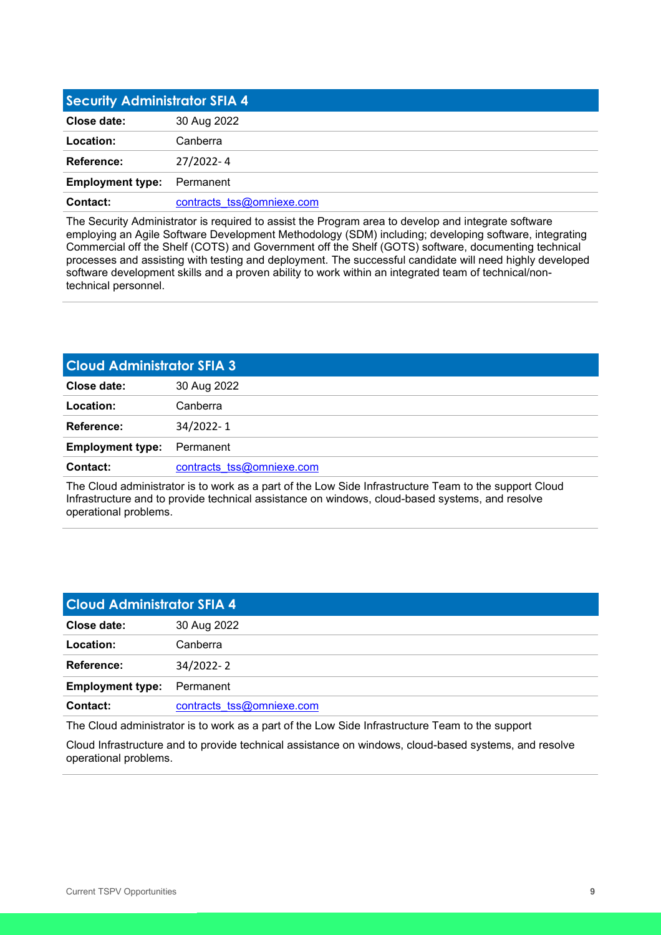<span id="page-8-0"></span>

| <b>Security Administrator SFIA 4</b> |                           |
|--------------------------------------|---------------------------|
| Close date:                          | 30 Aug 2022               |
| Location:                            | Canberra                  |
| Reference:                           | 27/2022-4                 |
| <b>Employment type:</b>              | Permanent                 |
| Contact:                             | contracts tss@omniexe.com |

The Security Administrator is required to assist the Program area to develop and integrate software employing an Agile Software Development Methodology (SDM) including; developing software, integrating Commercial off the Shelf (COTS) and Government off the Shelf (GOTS) software, documenting technical processes and assisting with testing and deployment. The successful candidate will need highly developed software development skills and a proven ability to work within an integrated team of technical/nontechnical personnel.

<span id="page-8-1"></span>

| <b>Cloud Administrator SFIA 3</b> |                           |
|-----------------------------------|---------------------------|
| Close date:                       | 30 Aug 2022               |
| Location:                         | Canberra                  |
| Reference:                        | 34/2022-1                 |
| <b>Employment type:</b>           | Permanent                 |
| <b>Contact:</b>                   | contracts tss@omniexe.com |
|                                   |                           |

The Cloud administrator is to work as a part of the Low Side Infrastructure Team to the support Cloud Infrastructure and to provide technical assistance on windows, cloud-based systems, and resolve operational problems.

<span id="page-8-2"></span>

| <b>Cloud Administrator SFIA 4</b> |                           |
|-----------------------------------|---------------------------|
| Close date:                       | 30 Aug 2022               |
| Location:                         | Canberra                  |
| <b>Reference:</b>                 | 34/2022-2                 |
| <b>Employment type:</b>           | Permanent                 |
| Contact:                          | contracts tss@omniexe.com |

The Cloud administrator is to work as a part of the Low Side Infrastructure Team to the support

Cloud Infrastructure and to provide technical assistance on windows, cloud-based systems, and resolve operational problems.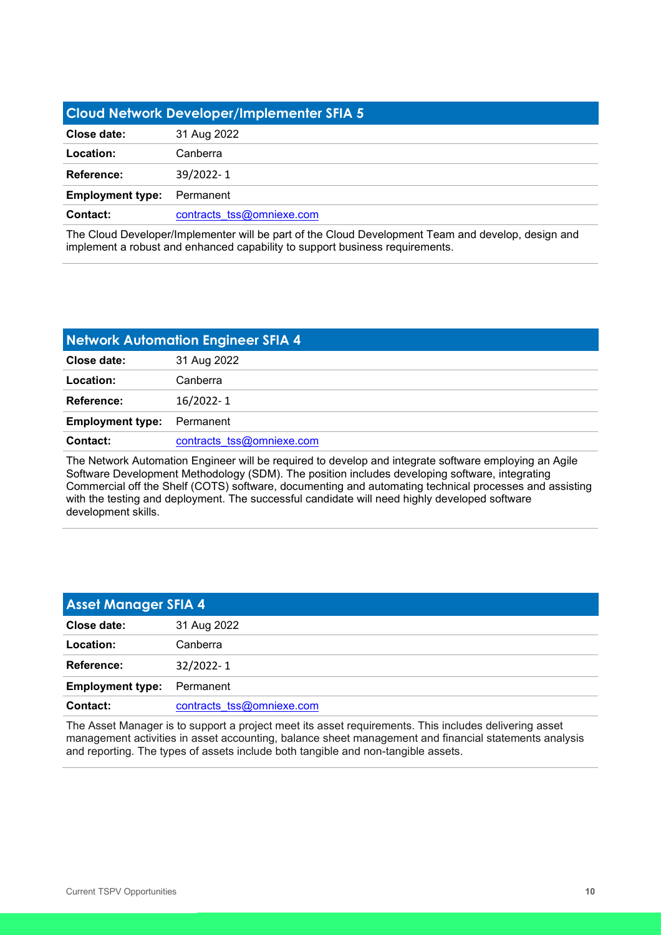<span id="page-9-0"></span>

| <b>Cloud Network Developer/Implementer SFIA 5</b> |                           |
|---------------------------------------------------|---------------------------|
| Close date:                                       | 31 Aug 2022               |
| Location:                                         | Canberra                  |
| Reference:                                        | 39/2022-1                 |
| <b>Employment type:</b>                           | Permanent                 |
| Contact:                                          | contracts tss@omniexe.com |

The Cloud Developer/Implementer will be part of the Cloud Development Team and develop, design and implement a robust and enhanced capability to support business requirements.

<span id="page-9-1"></span>

| <b>Network Automation Engineer SFIA 4</b> |                           |
|-------------------------------------------|---------------------------|
| Close date:                               | 31 Aug 2022               |
| Location:                                 | Canberra                  |
| <b>Reference:</b>                         | 16/2022-1                 |
| <b>Employment type:</b>                   | Permanent                 |
| Contact:                                  | contracts tss@omniexe.com |

The Network Automation Engineer will be required to develop and integrate software employing an Agile Software Development Methodology (SDM). The position includes developing software, integrating Commercial off the Shelf (COTS) software, documenting and automating technical processes and assisting with the testing and deployment. The successful candidate will need highly developed software development skills.

<span id="page-9-2"></span>

| <b>Asset Manager SFIA 4</b> |                           |
|-----------------------------|---------------------------|
| Close date:                 | 31 Aug 2022               |
| Location:                   | Canberra                  |
| Reference:                  | 32/2022-1                 |
| <b>Employment type:</b>     | Permanent                 |
| Contact:                    | contracts tss@omniexe.com |

The Asset Manager is to support a project meet its asset requirements. This includes delivering asset management activities in asset accounting, balance sheet management and financial statements analysis and reporting. The types of assets include both tangible and non-tangible assets.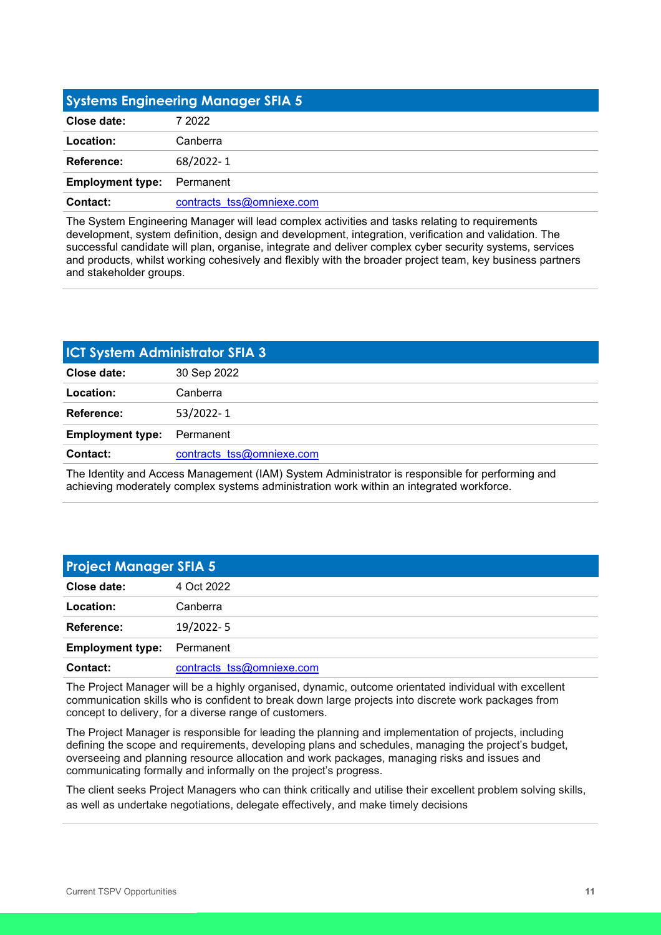<span id="page-10-0"></span>

| <b>Systems Engineering Manager SFIA 5</b> |                           |
|-------------------------------------------|---------------------------|
| Close date:                               | 7 2022                    |
| Location:                                 | Canberra                  |
| Reference:                                | 68/2022-1                 |
| <b>Employment type:</b>                   | Permanent                 |
| Contact:                                  | contracts tss@omniexe.com |

The System Engineering Manager will lead complex activities and tasks relating to requirements development, system definition, design and development, integration, verification and validation. The successful candidate will plan, organise, integrate and deliver complex cyber security systems, services and products, whilst working cohesively and flexibly with the broader project team, key business partners and stakeholder groups.

<span id="page-10-1"></span>

| <b>ICT System Administrator SFIA 3</b> |                           |
|----------------------------------------|---------------------------|
| Close date:                            | 30 Sep 2022               |
| Location:                              | Canberra                  |
| <b>Reference:</b>                      | 53/2022-1                 |
| <b>Employment type:</b>                | Permanent                 |
| <b>Contact:</b>                        | contracts tss@omniexe.com |
|                                        |                           |

The Identity and Access Management (IAM) System Administrator is responsible for performing and achieving moderately complex systems administration work within an integrated workforce.

<span id="page-10-2"></span>

| <b>Project Manager SFIA 5</b> |                           |
|-------------------------------|---------------------------|
| Close date:                   | 4 Oct 2022                |
| Location:                     | Canberra                  |
| Reference:                    | 19/2022-5                 |
| <b>Employment type:</b>       | Permanent                 |
| Contact:                      | contracts tss@omniexe.com |

The Project Manager will be a highly organised, dynamic, outcome orientated individual with excellent communication skills who is confident to break down large projects into discrete work packages from concept to delivery, for a diverse range of customers.

The Project Manager is responsible for leading the planning and implementation of projects, including defining the scope and requirements, developing plans and schedules, managing the project's budget, overseeing and planning resource allocation and work packages, managing risks and issues and communicating formally and informally on the project's progress.

The client seeks Project Managers who can think critically and utilise their excellent problem solving skills, as well as undertake negotiations, delegate effectively, and make timely decisions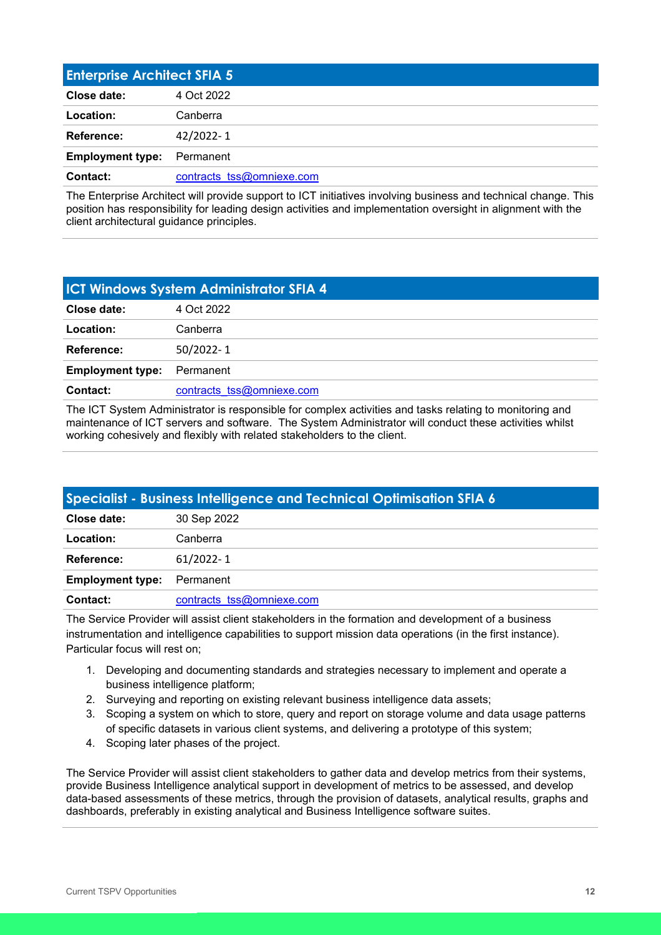<span id="page-11-0"></span>

| <b>Enterprise Architect SFIA 5</b> |                           |
|------------------------------------|---------------------------|
| Close date:                        | 4 Oct 2022                |
| Location:                          | Canberra                  |
| Reference:                         | 42/2022-1                 |
| <b>Employment type:</b>            | Permanent                 |
| Contact:                           | contracts tss@omniexe.com |

The Enterprise Architect will provide support to ICT initiatives involving business and technical change. This position has responsibility for leading design activities and implementation oversight in alignment with the client architectural guidance principles.

<span id="page-11-1"></span>

| <b>ICT Windows System Administrator SFIA 4</b> |                           |
|------------------------------------------------|---------------------------|
| Close date:                                    | 4 Oct 2022                |
| Location:                                      | Canberra                  |
| Reference:                                     | 50/2022-1                 |
| <b>Employment type:</b>                        | Permanent                 |
| Contact:                                       | contracts tss@omniexe.com |

The ICT System Administrator is responsible for complex activities and tasks relating to monitoring and maintenance of ICT servers and software. The System Administrator will conduct these activities whilst working cohesively and flexibly with related stakeholders to the client.

<span id="page-11-2"></span>

| Specialist - Business Intelligence and Technical Optimisation SFIA 6 |                           |  |
|----------------------------------------------------------------------|---------------------------|--|
| Close date:                                                          | 30 Sep 2022               |  |
| Location:                                                            | Canberra                  |  |
| Reference:                                                           | $61/2022 - 1$             |  |
| <b>Employment type:</b>                                              | Permanent                 |  |
| <b>Contact:</b>                                                      | contracts tss@omniexe.com |  |

The Service Provider will assist client stakeholders in the formation and development of a business instrumentation and intelligence capabilities to support mission data operations (in the first instance). Particular focus will rest on;

- 1. Developing and documenting standards and strategies necessary to implement and operate a business intelligence platform;
- 2. Surveying and reporting on existing relevant business intelligence data assets;
- 3. Scoping a system on which to store, query and report on storage volume and data usage patterns of specific datasets in various client systems, and delivering a prototype of this system;
- 4. Scoping later phases of the project.

The Service Provider will assist client stakeholders to gather data and develop metrics from their systems, provide Business Intelligence analytical support in development of metrics to be assessed, and develop data-based assessments of these metrics, through the provision of datasets, analytical results, graphs and dashboards, preferably in existing analytical and Business Intelligence software suites.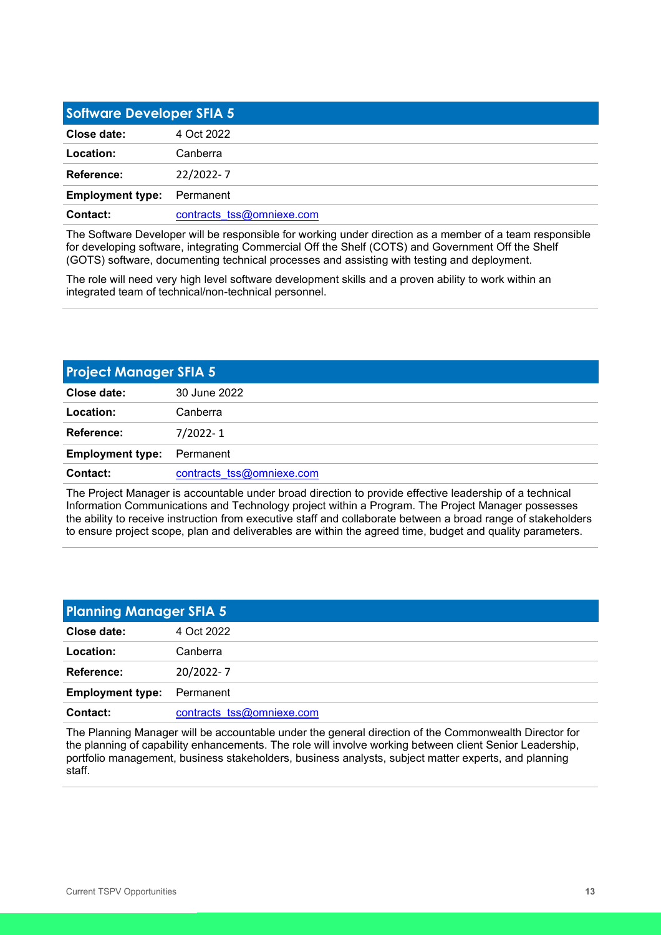<span id="page-12-0"></span>

| <b>Software Developer SFIA 5</b> |                           |
|----------------------------------|---------------------------|
| Close date:                      | 4 Oct 2022                |
| Location:                        | Canberra                  |
| Reference:                       | 22/2022-7                 |
| <b>Employment type:</b>          | Permanent                 |
| Contact:                         | contracts tss@omniexe.com |

The Software Developer will be responsible for working under direction as a member of a team responsible for developing software, integrating Commercial Off the Shelf (COTS) and Government Off the Shelf (GOTS) software, documenting technical processes and assisting with testing and deployment.

The role will need very high level software development skills and a proven ability to work within an integrated team of technical/non-technical personnel.

<span id="page-12-1"></span>

| <b>Project Manager SFIA 5</b> |                           |
|-------------------------------|---------------------------|
| Close date:                   | 30 June 2022              |
| Location:                     | Canberra                  |
| Reference:                    | $7/2022 - 1$              |
| <b>Employment type:</b>       | Permanent                 |
| Contact:                      | contracts tss@omniexe.com |

The Project Manager is accountable under broad direction to provide effective leadership of a technical Information Communications and Technology project within a Program. The Project Manager possesses the ability to receive instruction from executive staff and collaborate between a broad range of stakeholders to ensure project scope, plan and deliverables are within the agreed time, budget and quality parameters.

<span id="page-12-2"></span>

| <b>Planning Manager SFIA 5</b> |                           |
|--------------------------------|---------------------------|
| Close date:                    | 4 Oct 2022                |
| Location:                      | Canberra                  |
| Reference:                     | 20/2022-7                 |
| <b>Employment type:</b>        | Permanent                 |
| Contact:                       | contracts tss@omniexe.com |

The Planning Manager will be accountable under the general direction of the Commonwealth Director for the planning of capability enhancements. The role will involve working between client Senior Leadership, portfolio management, business stakeholders, business analysts, subject matter experts, and planning staff.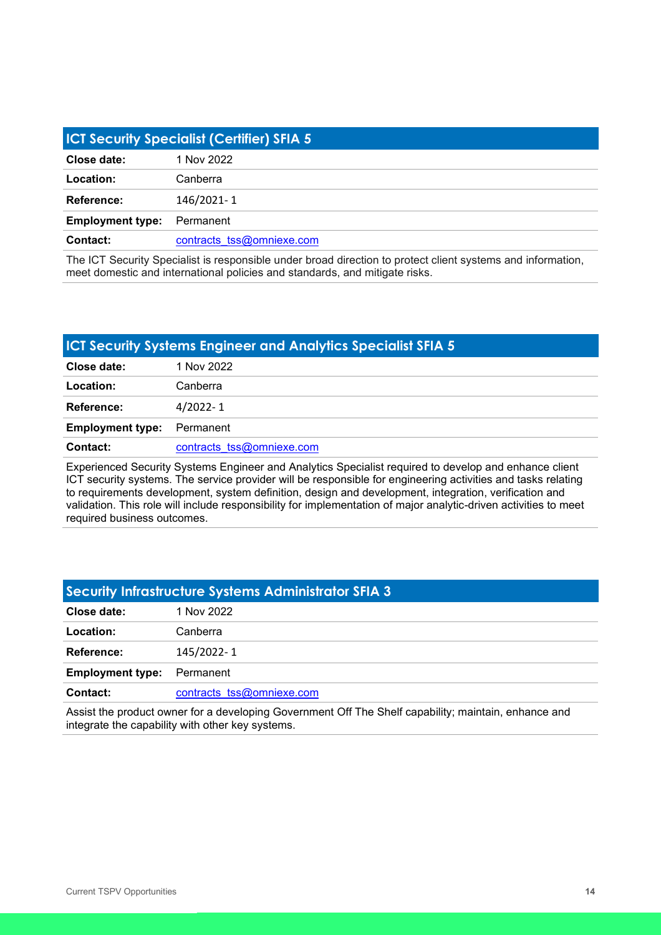<span id="page-13-0"></span>

| <b>ICT Security Specialist (Certifier) SFIA 5</b> |                           |
|---------------------------------------------------|---------------------------|
| Close date:                                       | 1 Nov 2022                |
| Location:                                         | Canberra                  |
| Reference:                                        | 146/2021-1                |
| <b>Employment type:</b>                           | Permanent                 |
| Contact:                                          | contracts tss@omniexe.com |

The ICT Security Specialist is responsible under broad direction to protect client systems and information, meet domestic and international policies and standards, and mitigate risks.

#### <span id="page-13-1"></span>**ICT Security Systems Engineer and Analytics Specialist SFIA 5**

| Close date:             | 1 Nov 2022                |
|-------------------------|---------------------------|
| Location:               | Canberra                  |
| <b>Reference:</b>       | $4/2022 - 1$              |
| <b>Employment type:</b> | Permanent                 |
| <b>Contact:</b>         | contracts tss@omniexe.com |

Experienced Security Systems Engineer and Analytics Specialist required to develop and enhance client ICT security systems. The service provider will be responsible for engineering activities and tasks relating to requirements development, system definition, design and development, integration, verification and validation. This role will include responsibility for implementation of major analytic-driven activities to meet required business outcomes.

## <span id="page-13-2"></span>**Security Infrastructure Systems Administrator SFIA 3 Close date:** 1 Nov 2022 **Location:** Canberra **Reference:** 145/2022- 1 **Employment type:** Permanent **Contact:** contracts tss@omniexe.com

Assist the product owner for a developing Government Off The Shelf capability; maintain, enhance and integrate the capability with other key systems.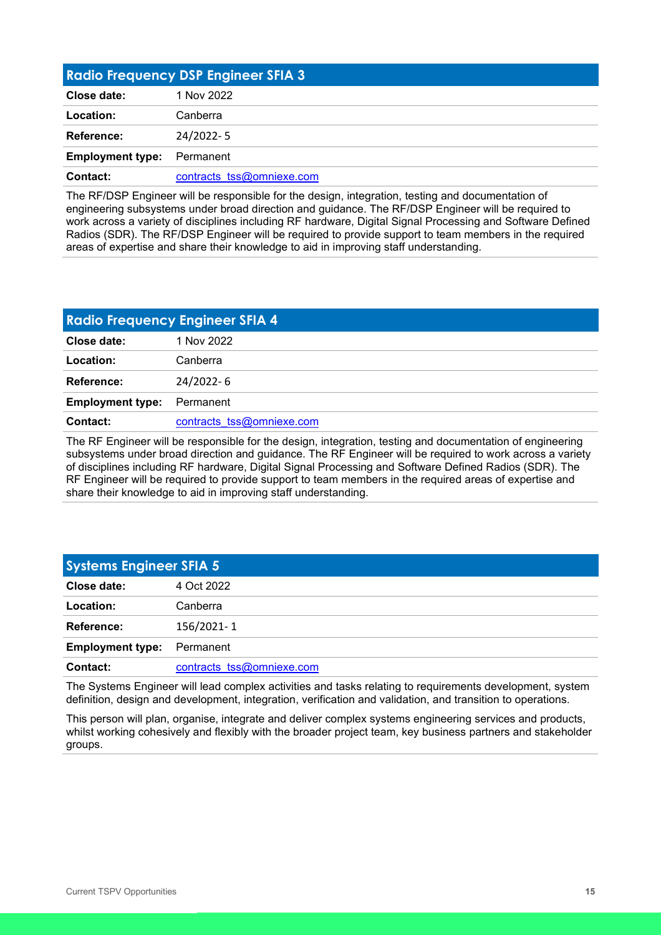<span id="page-14-0"></span>

| <b>Radio Frequency DSP Engineer SFIA 3</b> |                           |
|--------------------------------------------|---------------------------|
| Close date:                                | 1 Nov 2022                |
| Location:                                  | Canberra                  |
| Reference:                                 | 24/2022-5                 |
| <b>Employment type:</b>                    | Permanent                 |
| Contact:                                   | contracts tss@omniexe.com |

The RF/DSP Engineer will be responsible for the design, integration, testing and documentation of engineering subsystems under broad direction and guidance. The RF/DSP Engineer will be required to work across a variety of disciplines including RF hardware, Digital Signal Processing and Software Defined Radios (SDR). The RF/DSP Engineer will be required to provide support to team members in the required areas of expertise and share their knowledge to aid in improving staff understanding.

<span id="page-14-1"></span>

| <b>Radio Frequency Engineer SFIA 4</b> |                           |  |
|----------------------------------------|---------------------------|--|
| Close date:                            | 1 Nov 2022                |  |
| Location:                              | Canberra                  |  |
| Reference:                             | 24/2022-6                 |  |
| <b>Employment type:</b>                | Permanent                 |  |
| Contact:                               | contracts tss@omniexe.com |  |

The RF Engineer will be responsible for the design, integration, testing and documentation of engineering subsystems under broad direction and guidance. The RF Engineer will be required to work across a variety of disciplines including RF hardware, Digital Signal Processing and Software Defined Radios (SDR). The RF Engineer will be required to provide support to team members in the required areas of expertise and share their knowledge to aid in improving staff understanding.

<span id="page-14-2"></span>

| <b>Systems Engineer SFIA 5</b> |                           |
|--------------------------------|---------------------------|
| Close date:                    | 4 Oct 2022                |
| Location:                      | Canberra                  |
| Reference:                     | 156/2021-1                |
| <b>Employment type:</b>        | Permanent                 |
| <b>Contact:</b>                | contracts tss@omniexe.com |

The Systems Engineer will lead complex activities and tasks relating to requirements development, system definition, design and development, integration, verification and validation, and transition to operations.

This person will plan, organise, integrate and deliver complex systems engineering services and products, whilst working cohesively and flexibly with the broader project team, key business partners and stakeholder groups.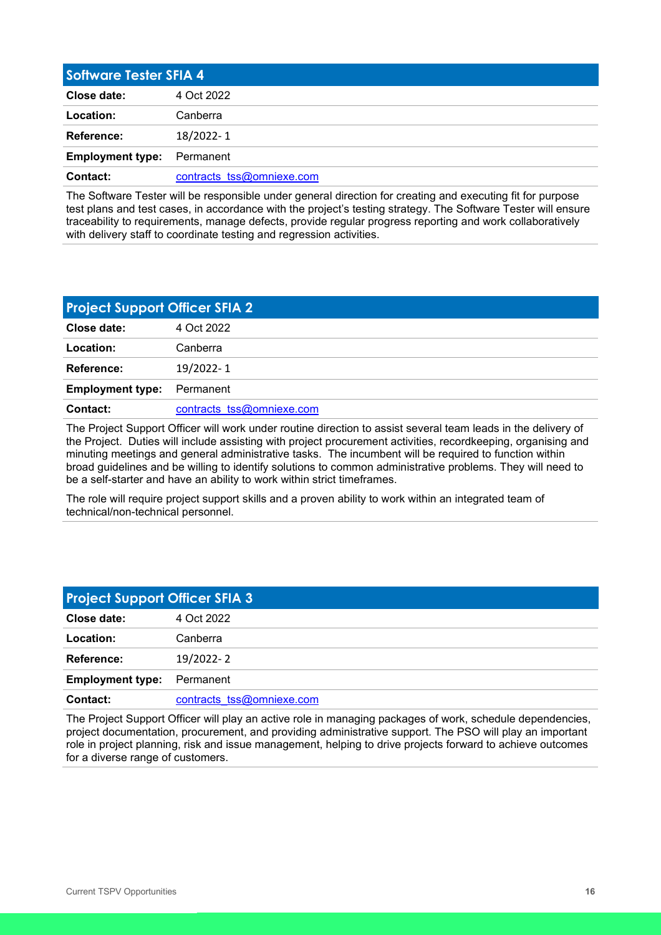<span id="page-15-0"></span>

| <b>Software Tester SFIA 4</b> |                           |
|-------------------------------|---------------------------|
| Close date:                   | 4 Oct 2022                |
| Location:                     | Canberra                  |
| Reference:                    | 18/2022-1                 |
| <b>Employment type:</b>       | Permanent                 |
| Contact:                      | contracts tss@omniexe.com |

The Software Tester will be responsible under general direction for creating and executing fit for purpose test plans and test cases, in accordance with the project's testing strategy. The Software Tester will ensure traceability to requirements, manage defects, provide regular progress reporting and work collaboratively with delivery staff to coordinate testing and regression activities.

<span id="page-15-1"></span>

| <b>Project Support Officer SFIA 2</b> |                           |
|---------------------------------------|---------------------------|
| Close date:                           | 4 Oct 2022                |
| Location:                             | Canberra                  |
| <b>Reference:</b>                     | 19/2022-1                 |
| <b>Employment type:</b>               | Permanent                 |
| Contact:                              | contracts tss@omniexe.com |

The Project Support Officer will work under routine direction to assist several team leads in the delivery of the Project. Duties will include assisting with project procurement activities, recordkeeping, organising and minuting meetings and general administrative tasks. The incumbent will be required to function within broad guidelines and be willing to identify solutions to common administrative problems. They will need to be a self-starter and have an ability to work within strict timeframes.

The role will require project support skills and a proven ability to work within an integrated team of technical/non-technical personnel.

<span id="page-15-2"></span>

| <b>Project Support Officer SFIA 3</b> |                           |
|---------------------------------------|---------------------------|
| Close date:                           | 4 Oct 2022                |
| Location:                             | Canberra                  |
| Reference:                            | 19/2022-2                 |
| <b>Employment type:</b>               | Permanent                 |
| Contact:                              | contracts tss@omniexe.com |

The Project Support Officer will play an active role in managing packages of work, schedule dependencies, project documentation, procurement, and providing administrative support. The PSO will play an important role in project planning, risk and issue management, helping to drive projects forward to achieve outcomes for a diverse range of customers.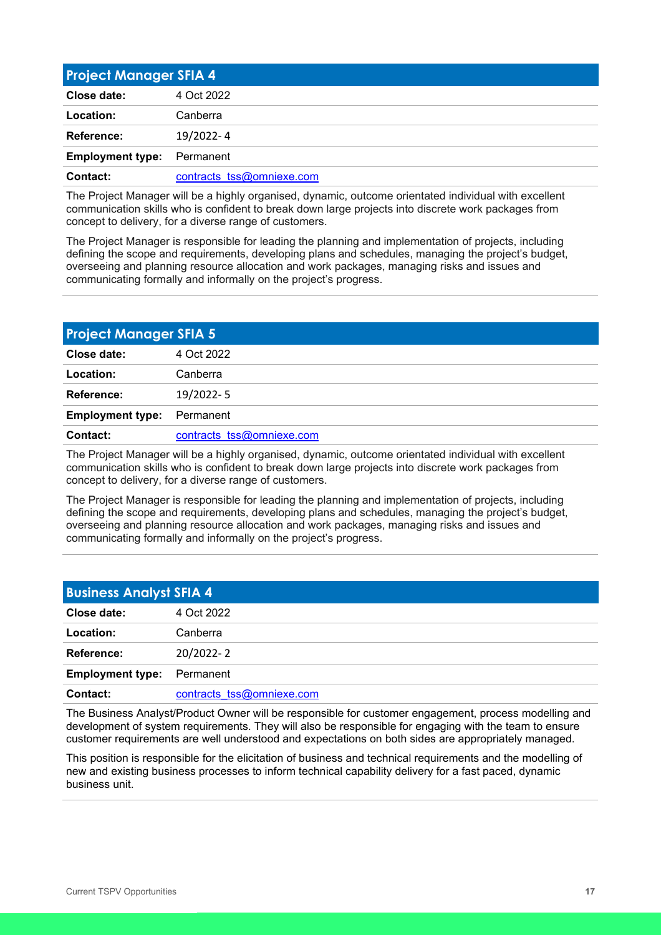<span id="page-16-0"></span>

| <b>Project Manager SFIA 4</b> |                           |
|-------------------------------|---------------------------|
| Close date:                   | 4 Oct 2022                |
| Location:                     | Canberra                  |
| Reference:                    | 19/2022-4                 |
| <b>Employment type:</b>       | Permanent                 |
| Contact:                      | contracts tss@omniexe.com |

The Project Manager will be a highly organised, dynamic, outcome orientated individual with excellent communication skills who is confident to break down large projects into discrete work packages from concept to delivery, for a diverse range of customers.

The Project Manager is responsible for leading the planning and implementation of projects, including defining the scope and requirements, developing plans and schedules, managing the project's budget, overseeing and planning resource allocation and work packages, managing risks and issues and communicating formally and informally on the project's progress.

<span id="page-16-1"></span>

| <b>Project Manager SFIA 5</b> |                           |
|-------------------------------|---------------------------|
| Close date:                   | 4 Oct 2022                |
| Location:                     | Canberra                  |
| Reference:                    | 19/2022-5                 |
| <b>Employment type:</b>       | Permanent                 |
| Contact:                      | contracts tss@omniexe.com |

The Project Manager will be a highly organised, dynamic, outcome orientated individual with excellent communication skills who is confident to break down large projects into discrete work packages from concept to delivery, for a diverse range of customers.

The Project Manager is responsible for leading the planning and implementation of projects, including defining the scope and requirements, developing plans and schedules, managing the project's budget, overseeing and planning resource allocation and work packages, managing risks and issues and communicating formally and informally on the project's progress.

<span id="page-16-2"></span>

| <b>Business Analyst SFIA 4</b> |                           |
|--------------------------------|---------------------------|
| Close date:                    | 4 Oct 2022                |
| Location:                      | Canberra                  |
| <b>Reference:</b>              | 20/2022-2                 |
| <b>Employment type:</b>        | Permanent                 |
| <b>Contact:</b>                | contracts tss@omniexe.com |

The Business Analyst/Product Owner will be responsible for customer engagement, process modelling and development of system requirements. They will also be responsible for engaging with the team to ensure customer requirements are well understood and expectations on both sides are appropriately managed.

This position is responsible for the elicitation of business and technical requirements and the modelling of new and existing business processes to inform technical capability delivery for a fast paced, dynamic business unit.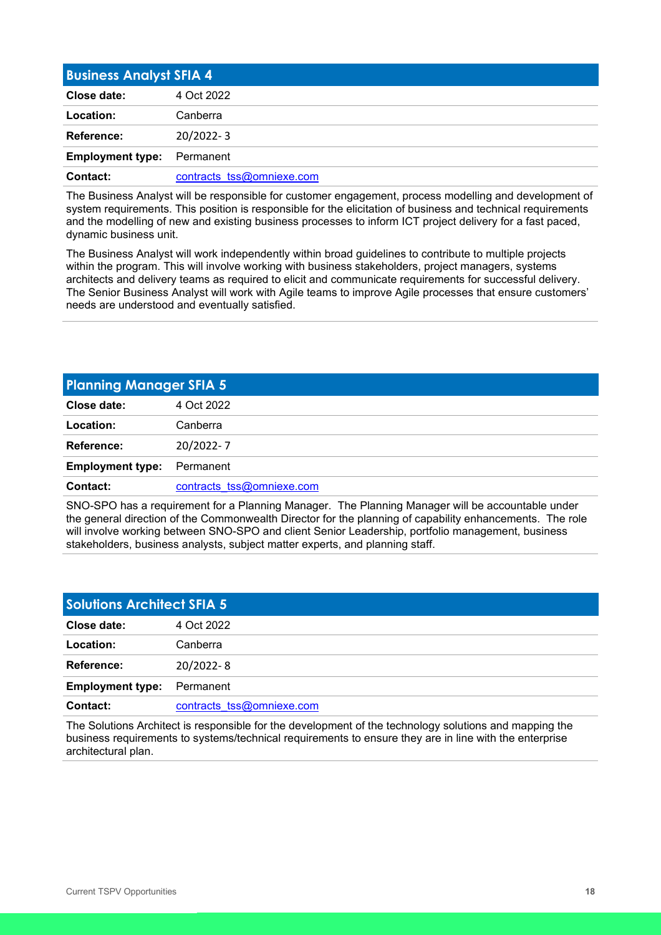<span id="page-17-0"></span>

| <b>Business Analyst SFIA 4</b> |                           |
|--------------------------------|---------------------------|
| Close date:                    | 4 Oct 2022                |
| Location:                      | Canberra                  |
| Reference:                     | 20/2022-3                 |
| <b>Employment type:</b>        | Permanent                 |
| Contact:                       | contracts tss@omniexe.com |

The Business Analyst will be responsible for customer engagement, process modelling and development of system requirements. This position is responsible for the elicitation of business and technical requirements and the modelling of new and existing business processes to inform ICT project delivery for a fast paced, dynamic business unit.

The Business Analyst will work independently within broad guidelines to contribute to multiple projects within the program. This will involve working with business stakeholders, project managers, systems architects and delivery teams as required to elicit and communicate requirements for successful delivery. The Senior Business Analyst will work with Agile teams to improve Agile processes that ensure customers' needs are understood and eventually satisfied.

<span id="page-17-1"></span>

| <b>Planning Manager SFIA 5</b> |                           |
|--------------------------------|---------------------------|
| Close date:                    | 4 Oct 2022                |
| Location:                      | Canberra                  |
| Reference:                     | 20/2022-7                 |
| <b>Employment type:</b>        | Permanent                 |
| Contact:                       | contracts tss@omniexe.com |
|                                |                           |

SNO-SPO has a requirement for a Planning Manager. The Planning Manager will be accountable under the general direction of the Commonwealth Director for the planning of capability enhancements. The role will involve working between SNO-SPO and client Senior Leadership, portfolio management, business stakeholders, business analysts, subject matter experts, and planning staff.

<span id="page-17-2"></span>

| <b>Solutions Architect SFIA 5</b> |                           |
|-----------------------------------|---------------------------|
| Close date:                       | 4 Oct 2022                |
| Location:                         | Canberra                  |
| Reference:                        | 20/2022-8                 |
| <b>Employment type:</b>           | Permanent                 |
| Contact:                          | contracts tss@omniexe.com |

The Solutions Architect is responsible for the development of the technology solutions and mapping the business requirements to systems/technical requirements to ensure they are in line with the enterprise architectural plan.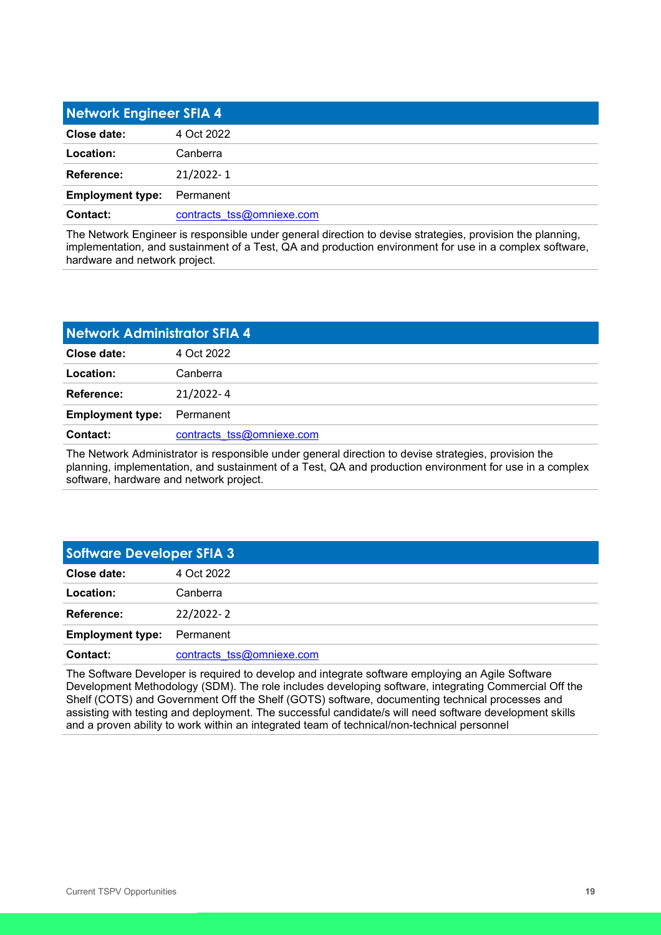<span id="page-18-0"></span>

| Network Engineer SFIA 4 |                           |
|-------------------------|---------------------------|
| Close date:             | 4 Oct 2022                |
| Location:               | Canberra                  |
| Reference:              | 21/2022-1                 |
| <b>Employment type:</b> | Permanent                 |
| Contact:                | contracts tss@omniexe.com |

The Network Engineer is responsible under general direction to devise strategies, provision the planning, implementation, and sustainment of a Test, QA and production environment for use in a complex software, hardware and network project.

<span id="page-18-1"></span>

| Network Administrator SFIA 4 |                           |
|------------------------------|---------------------------|
| Close date:                  | 4 Oct 2022                |
| Location:                    | Canberra                  |
| Reference:                   | $21/2022 - 4$             |
| <b>Employment type:</b>      | Permanent                 |
| <b>Contact:</b>              | contracts tss@omniexe.com |

The Network Administrator is responsible under general direction to devise strategies, provision the planning, implementation, and sustainment of a Test, QA and production environment for use in a complex software, hardware and network project.

<span id="page-18-2"></span>

| <b>Software Developer SFIA 3</b> |                           |
|----------------------------------|---------------------------|
| Close date:                      | 4 Oct 2022                |
| Location:                        | Canberra                  |
| Reference:                       | 22/2022-2                 |
| <b>Employment type:</b>          | Permanent                 |
| Contact:                         | contracts tss@omniexe.com |

The Software Developer is required to develop and integrate software employing an Agile Software Development Methodology (SDM). The role includes developing software, integrating Commercial Off the Shelf (COTS) and Government Off the Shelf (GOTS) software, documenting technical processes and assisting with testing and deployment. The successful candidate/s will need software development skills and a proven ability to work within an integrated team of technical/non-technical personnel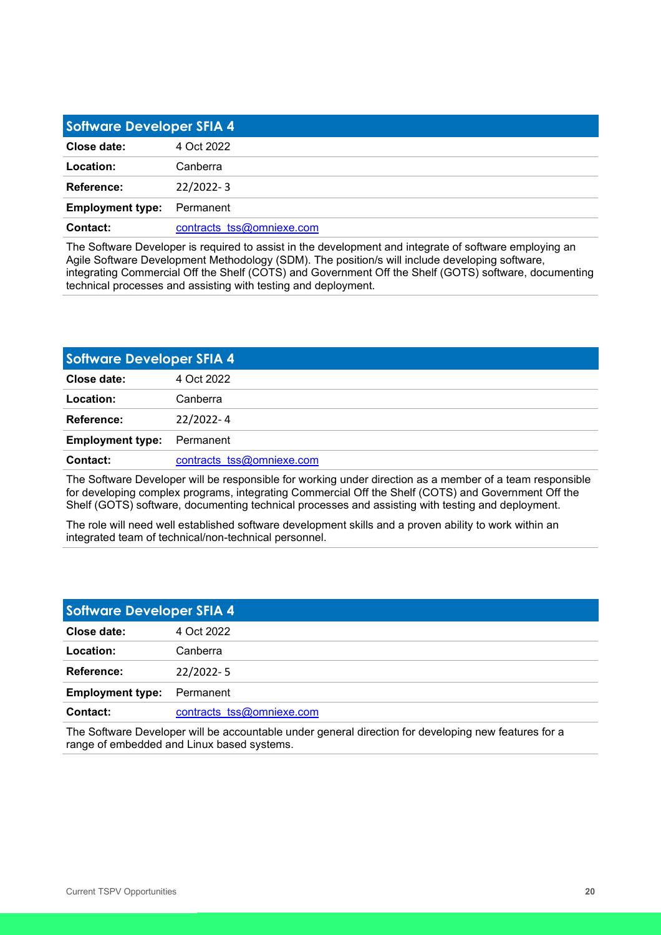<span id="page-19-0"></span>

| <b>Software Developer SFIA 4</b> |                           |
|----------------------------------|---------------------------|
| Close date:                      | 4 Oct 2022                |
| Location:                        | Canberra                  |
| Reference:                       | $22/2022 - 3$             |
| <b>Employment type:</b>          | Permanent                 |
| Contact:                         | contracts tss@omniexe.com |

The Software Developer is required to assist in the development and integrate of software employing an Agile Software Development Methodology (SDM). The position/s will include developing software, integrating Commercial Off the Shelf (COTS) and Government Off the Shelf (GOTS) software, documenting technical processes and assisting with testing and deployment.

<span id="page-19-1"></span>

| <b>Software Developer SFIA 4</b> |                           |
|----------------------------------|---------------------------|
| Close date:                      | 4 Oct 2022                |
| Location:                        | Canberra                  |
| Reference:                       | 22/2022-4                 |
| <b>Employment type:</b>          | Permanent                 |
| Contact:                         | contracts tss@omniexe.com |

The Software Developer will be responsible for working under direction as a member of a team responsible for developing complex programs, integrating Commercial Off the Shelf (COTS) and Government Off the Shelf (GOTS) software, documenting technical processes and assisting with testing and deployment.

The role will need well established software development skills and a proven ability to work within an integrated team of technical/non-technical personnel.

<span id="page-19-2"></span>

| <b>Software Developer SFIA 4</b> |                           |
|----------------------------------|---------------------------|
| Close date:                      | 4 Oct 2022                |
| Location:                        | Canberra                  |
| Reference:                       | $22/2022 - 5$             |
| <b>Employment type:</b>          | Permanent                 |
| Contact:                         | contracts tss@omniexe.com |

The Software Developer will be accountable under general direction for developing new features for a range of embedded and Linux based systems.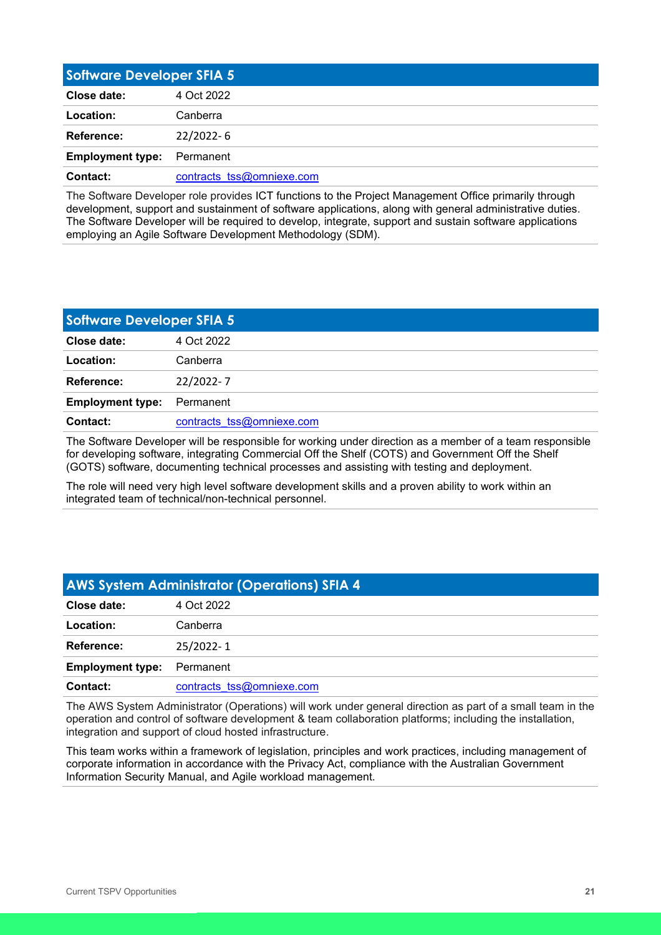<span id="page-20-0"></span>

| <b>Software Developer SFIA 5</b> |                           |
|----------------------------------|---------------------------|
| Close date:                      | 4 Oct 2022                |
| Location:                        | Canberra                  |
| Reference:                       | $22/2022 - 6$             |
| <b>Employment type:</b>          | Permanent                 |
| Contact:                         | contracts tss@omniexe.com |

The Software Developer role provides ICT functions to the Project Management Office primarily through development, support and sustainment of software applications, along with general administrative duties. The Software Developer will be required to develop, integrate, support and sustain software applications employing an Agile Software Development Methodology (SDM).

<span id="page-20-1"></span>

| <b>Software Developer SFIA 5</b> |                           |
|----------------------------------|---------------------------|
| Close date:                      | 4 Oct 2022                |
| Location:                        | Canberra                  |
| <b>Reference:</b>                | 22/2022-7                 |
| <b>Employment type:</b>          | Permanent                 |
| Contact:                         | contracts tss@omniexe.com |

The Software Developer will be responsible for working under direction as a member of a team responsible for developing software, integrating Commercial Off the Shelf (COTS) and Government Off the Shelf (GOTS) software, documenting technical processes and assisting with testing and deployment.

The role will need very high level software development skills and a proven ability to work within an integrated team of technical/non-technical personnel.

<span id="page-20-2"></span>

| <b>AWS System Administrator (Operations) SFIA 4</b> |                           |
|-----------------------------------------------------|---------------------------|
| Close date:                                         | 4 Oct 2022                |
| Location:                                           | Canberra                  |
| Reference:                                          | 25/2022-1                 |
| <b>Employment type:</b>                             | Permanent                 |
| <b>Contact:</b>                                     | contracts tss@omniexe.com |

The AWS System Administrator (Operations) will work under general direction as part of a small team in the operation and control of software development & team collaboration platforms; including the installation, integration and support of cloud hosted infrastructure.

This team works within a framework of legislation, principles and work practices, including management of corporate information in accordance with the Privacy Act, compliance with the Australian Government Information Security Manual, and Agile workload management.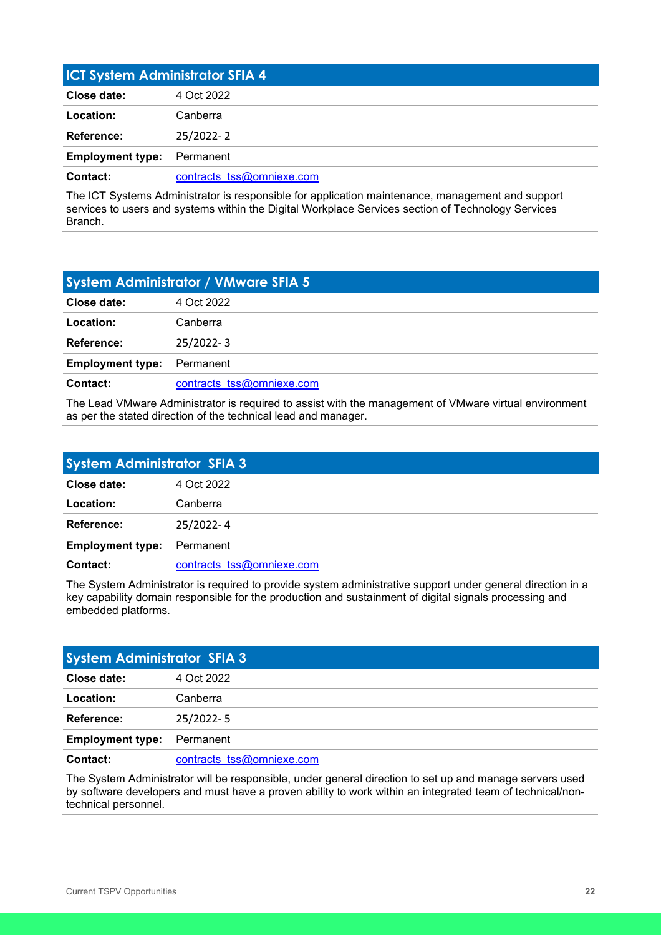<span id="page-21-0"></span>

| <b>ICT System Administrator SFIA 4</b> |  |
|----------------------------------------|--|
| 4 Oct 2022                             |  |
| Canberra                               |  |
| 25/2022-2                              |  |
| Permanent                              |  |
| contracts tss@omniexe.com              |  |
|                                        |  |

The ICT Systems Administrator is responsible for application maintenance, management and support services to users and systems within the Digital Workplace Services section of Technology Services Branch.

<span id="page-21-1"></span>

| <b>System Administrator / VMware SFIA 5</b> |                           |
|---------------------------------------------|---------------------------|
| Close date:                                 | 4 Oct 2022                |
| Location:                                   | Canberra                  |
| Reference:                                  | 25/2022-3                 |
| <b>Employment type:</b>                     | Permanent                 |
| Contact:                                    | contracts tss@omniexe.com |

The Lead VMware Administrator is required to assist with the management of VMware virtual environment as per the stated direction of the technical lead and manager.

<span id="page-21-2"></span>

| <b>System Administrator SFIA 3</b> |                           |
|------------------------------------|---------------------------|
| Close date:                        | 4 Oct 2022                |
| Location:                          | Canberra                  |
| <b>Reference:</b>                  | 25/2022-4                 |
| <b>Employment type:</b>            | Permanent                 |
| Contact:                           | contracts tss@omniexe.com |

The System Administrator is required to provide system administrative support under general direction in a key capability domain responsible for the production and sustainment of digital signals processing and embedded platforms.

<span id="page-21-3"></span>

| <b>System Administrator SFIA 3</b> |                           |
|------------------------------------|---------------------------|
| Close date:                        | 4 Oct 2022                |
| Location:                          | Canberra                  |
| <b>Reference:</b>                  | 25/2022-5                 |
| <b>Employment type:</b>            | Permanent                 |
| Contact:                           | contracts tss@omniexe.com |

The System Administrator will be responsible, under general direction to set up and manage servers used by software developers and must have a proven ability to work within an integrated team of technical/nontechnical personnel.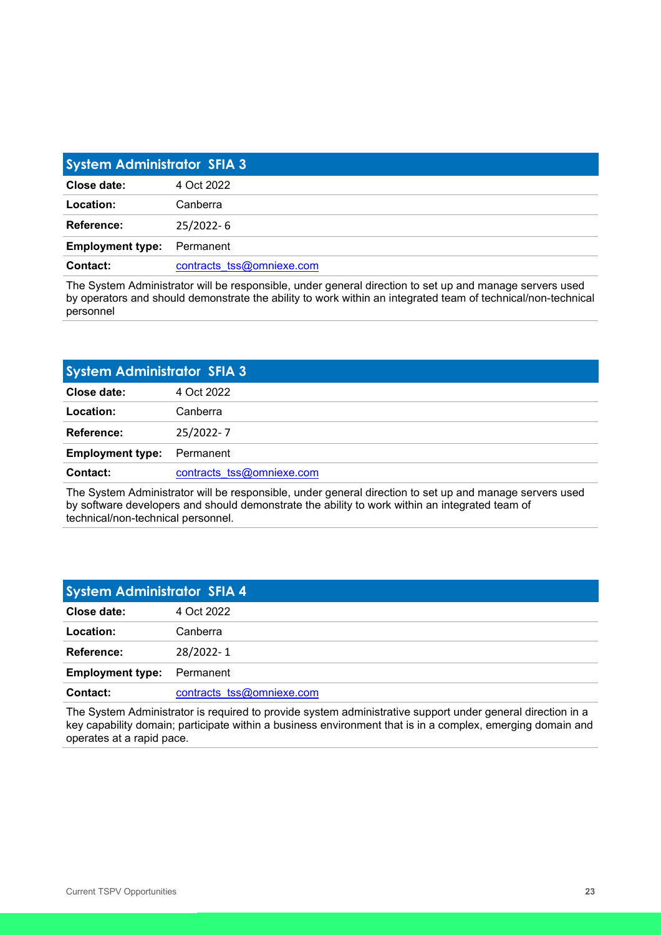<span id="page-22-0"></span>

| <b>System Administrator SFIA 3</b> |                           |
|------------------------------------|---------------------------|
| Close date:                        | 4 Oct 2022                |
| Location:                          | Canberra                  |
| Reference:                         | 25/2022-6                 |
| <b>Employment type:</b>            | Permanent                 |
| Contact:                           | contracts tss@omniexe.com |

The System Administrator will be responsible, under general direction to set up and manage servers used by operators and should demonstrate the ability to work within an integrated team of technical/non-technical personnel

<span id="page-22-1"></span>

| Close date:<br>4 Oct 2022<br>Location:<br>Canberra<br>Reference:<br>25/2022-7<br><b>Employment type:</b><br>Permanent | <b>System Administrator SFIA 3</b> |                           |
|-----------------------------------------------------------------------------------------------------------------------|------------------------------------|---------------------------|
|                                                                                                                       |                                    |                           |
|                                                                                                                       |                                    |                           |
|                                                                                                                       |                                    |                           |
|                                                                                                                       |                                    |                           |
|                                                                                                                       | <b>Contact:</b>                    | contracts tss@omniexe.com |

The System Administrator will be responsible, under general direction to set up and manage servers used by software developers and should demonstrate the ability to work within an integrated team of technical/non-technical personnel.

<span id="page-22-2"></span>

| <b>System Administrator SFIA 4</b> |                           |
|------------------------------------|---------------------------|
| Close date:                        | 4 Oct 2022                |
| Location:                          | Canberra                  |
| Reference:                         | 28/2022-1                 |
| <b>Employment type:</b>            | Permanent                 |
| Contact:                           | contracts tss@omniexe.com |

The System Administrator is required to provide system administrative support under general direction in a key capability domain; participate within a business environment that is in a complex, emerging domain and operates at a rapid pace.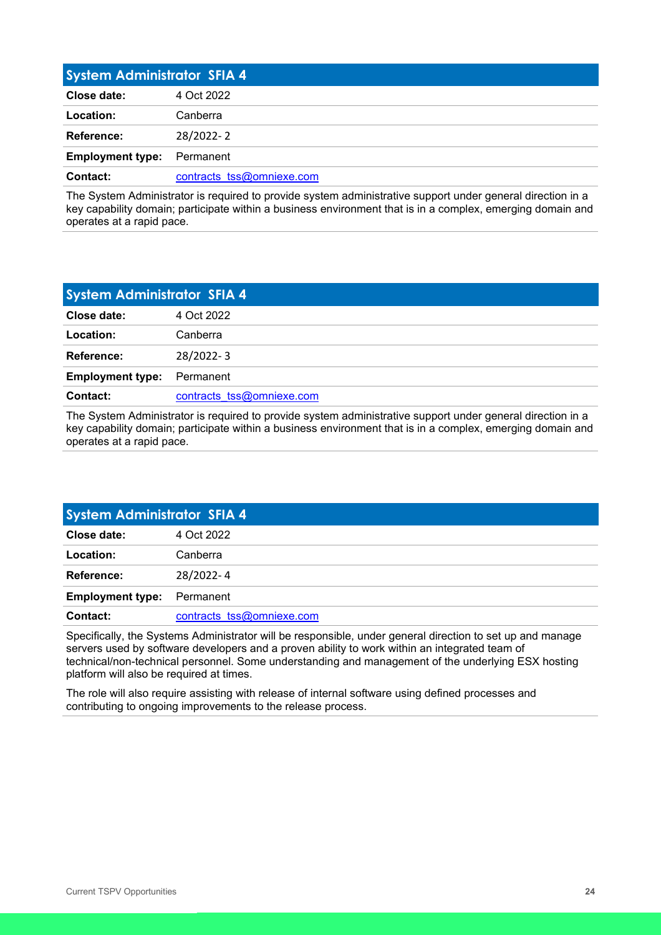<span id="page-23-0"></span>

| <b>System Administrator SFIA 4</b> |                           |
|------------------------------------|---------------------------|
| Close date:                        | 4 Oct 2022                |
| Location:                          | Canberra                  |
| Reference:                         | 28/2022-2                 |
| <b>Employment type:</b>            | Permanent                 |
| Contact:                           | contracts tss@omniexe.com |

The System Administrator is required to provide system administrative support under general direction in a key capability domain; participate within a business environment that is in a complex, emerging domain and operates at a rapid pace.

<span id="page-23-1"></span>

| <b>System Administrator SFIA 4</b> |  |
|------------------------------------|--|
| 4 Oct 2022                         |  |
| Canberra                           |  |
| 28/2022-3                          |  |
| Permanent                          |  |
| contracts tss@omniexe.com          |  |
|                                    |  |

The System Administrator is required to provide system administrative support under general direction in a key capability domain; participate within a business environment that is in a complex, emerging domain and operates at a rapid pace.

<span id="page-23-2"></span>

| <b>System Administrator SFIA 4</b> |                           |
|------------------------------------|---------------------------|
| Close date:                        | 4 Oct 2022                |
| Location:                          | Canberra                  |
| Reference:                         | 28/2022-4                 |
| <b>Employment type:</b>            | Permanent                 |
| Contact:                           | contracts tss@omniexe.com |

Specifically, the Systems Administrator will be responsible, under general direction to set up and manage servers used by software developers and a proven ability to work within an integrated team of technical/non-technical personnel. Some understanding and management of the underlying ESX hosting platform will also be required at times.

The role will also require assisting with release of internal software using defined processes and contributing to ongoing improvements to the release process.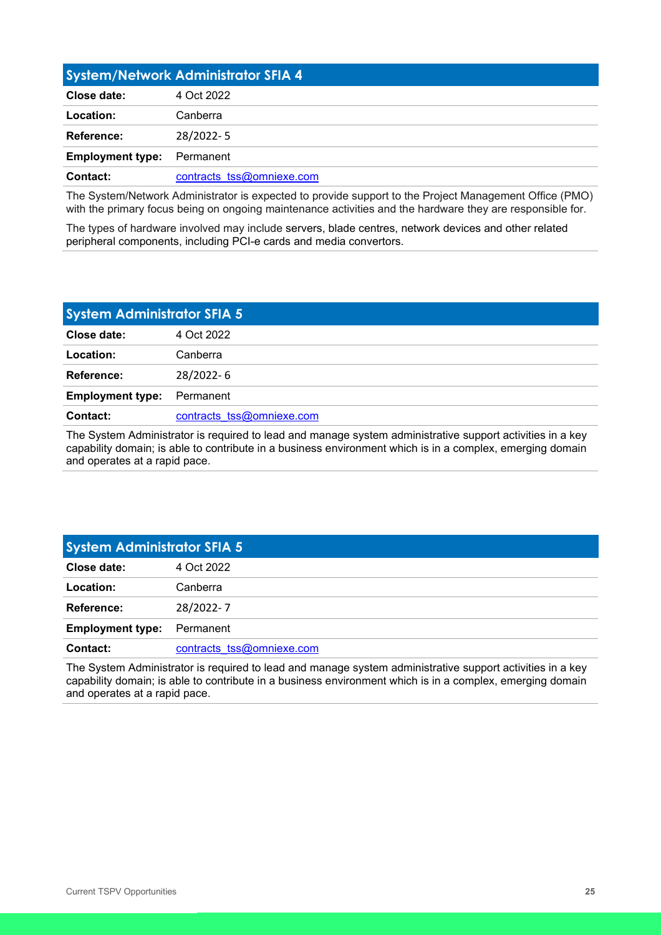<span id="page-24-0"></span>

| System/Network Administrator SFIA 4 |                           |
|-------------------------------------|---------------------------|
| Close date:                         | 4 Oct 2022                |
| Location:                           | Canberra                  |
| Reference:                          | 28/2022-5                 |
| <b>Employment type:</b>             | Permanent                 |
| Contact:                            | contracts tss@omniexe.com |

The System/Network Administrator is expected to provide support to the Project Management Office (PMO) with the primary focus being on ongoing maintenance activities and the hardware they are responsible for.

The types of hardware involved may include servers, blade centres, network devices and other related peripheral components, including PCI-e cards and media convertors.

<span id="page-24-1"></span>

| <b>System Administrator SFIA 5</b> |                           |
|------------------------------------|---------------------------|
| Close date:                        | 4 Oct 2022                |
| Location:                          | Canberra                  |
| Reference:                         | 28/2022-6                 |
| <b>Employment type:</b>            | Permanent                 |
| Contact:                           | contracts tss@omniexe.com |

The System Administrator is required to lead and manage system administrative support activities in a key capability domain; is able to contribute in a business environment which is in a complex, emerging domain and operates at a rapid pace.

<span id="page-24-2"></span>

| <b>System Administrator SFIA 5</b> |                           |
|------------------------------------|---------------------------|
| Close date:                        | 4 Oct 2022                |
| Location:                          | Canberra                  |
| Reference:                         | 28/2022-7                 |
| <b>Employment type:</b>            | Permanent                 |
| Contact:                           | contracts tss@omniexe.com |

The System Administrator is required to lead and manage system administrative support activities in a key capability domain; is able to contribute in a business environment which is in a complex, emerging domain and operates at a rapid pace.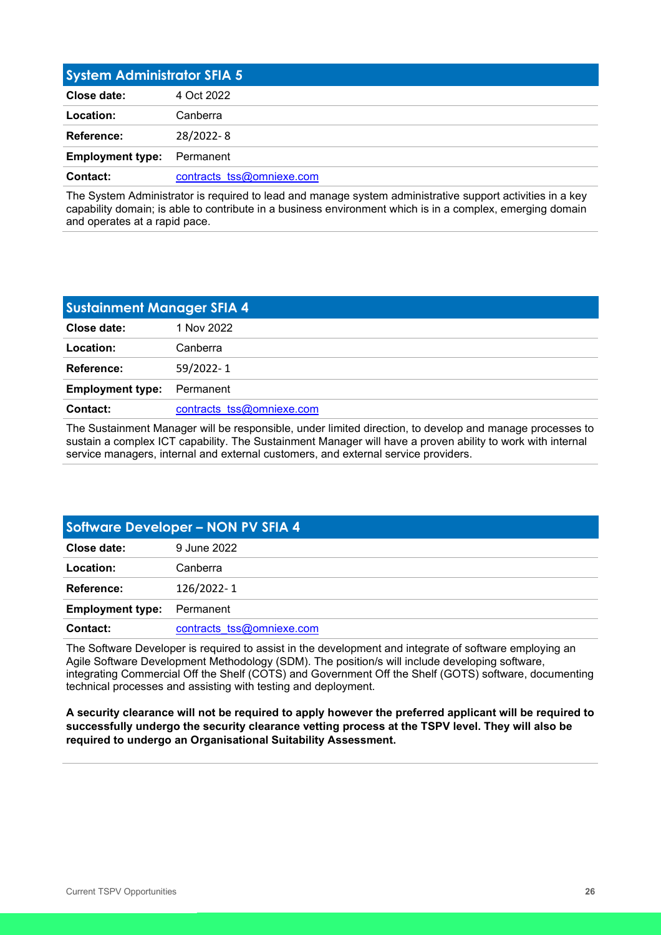<span id="page-25-0"></span>

| <b>System Administrator SFIA 5</b> |                           |
|------------------------------------|---------------------------|
| Close date:                        | 4 Oct 2022                |
| Location:                          | Canberra                  |
| Reference:                         | 28/2022-8                 |
| <b>Employment type:</b>            | Permanent                 |
| Contact:                           | contracts tss@omniexe.com |

The System Administrator is required to lead and manage system administrative support activities in a key capability domain; is able to contribute in a business environment which is in a complex, emerging domain and operates at a rapid pace.

<span id="page-25-1"></span>

| <b>Sustainment Manager SFIA 4</b> |                           |
|-----------------------------------|---------------------------|
| Close date:                       | 1 Nov 2022                |
| Location:                         | Canberra                  |
| Reference:                        | 59/2022-1                 |
| <b>Employment type:</b>           | Permanent                 |
| Contact:                          | contracts tss@omniexe.com |

The Sustainment Manager will be responsible, under limited direction, to develop and manage processes to sustain a complex ICT capability. The Sustainment Manager will have a proven ability to work with internal service managers, internal and external customers, and external service providers.

<span id="page-25-2"></span>

| Software Developer - NON PV SFIA 4 |                           |
|------------------------------------|---------------------------|
| Close date:                        | 9 June 2022               |
| Location:                          | Canberra                  |
| Reference:                         | 126/2022-1                |
| <b>Employment type:</b>            | Permanent                 |
| Contact:                           | contracts tss@omniexe.com |

The Software Developer is required to assist in the development and integrate of software employing an Agile Software Development Methodology (SDM). The position/s will include developing software, integrating Commercial Off the Shelf (COTS) and Government Off the Shelf (GOTS) software, documenting technical processes and assisting with testing and deployment.

**A security clearance will not be required to apply however the preferred applicant will be required to successfully undergo the security clearance vetting process at the TSPV level. They will also be required to undergo an Organisational Suitability Assessment.**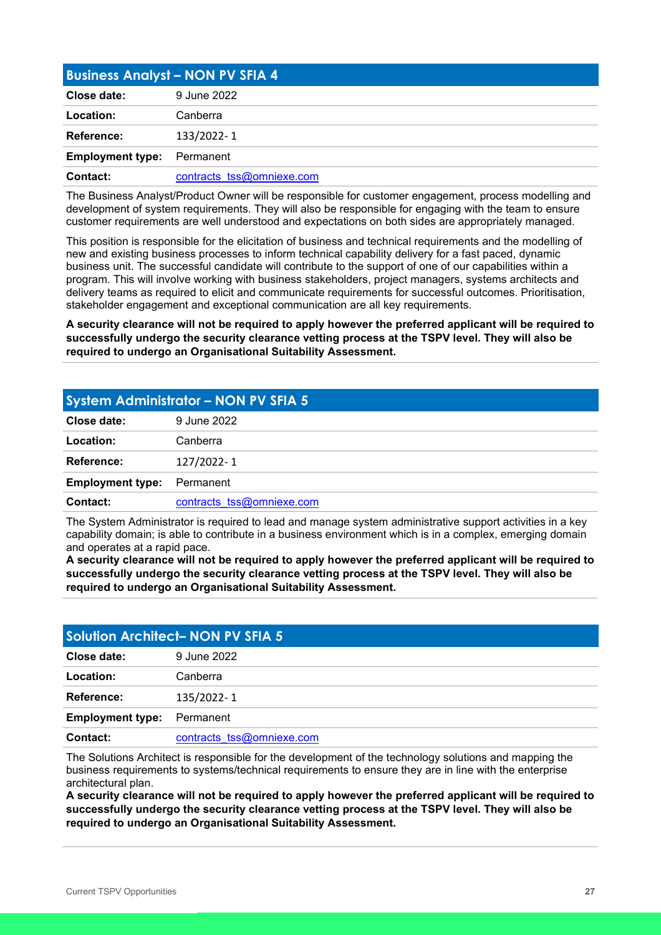<span id="page-26-0"></span>

| <b>Business Analyst - NON PV SFIA 4</b> |                           |
|-----------------------------------------|---------------------------|
| Close date:                             | 9 June 2022               |
| Location:                               | Canberra                  |
| <b>Reference:</b>                       | 133/2022-1                |
| <b>Employment type:</b>                 | Permanent                 |
| Contact:                                | contracts tss@omniexe.com |

The Business Analyst/Product Owner will be responsible for customer engagement, process modelling and development of system requirements. They will also be responsible for engaging with the team to ensure customer requirements are well understood and expectations on both sides are appropriately managed.

This position is responsible for the elicitation of business and technical requirements and the modelling of new and existing business processes to inform technical capability delivery for a fast paced, dynamic business unit. The successful candidate will contribute to the support of one of our capabilities within a program. This will involve working with business stakeholders, project managers, systems architects and delivery teams as required to elicit and communicate requirements for successful outcomes. Prioritisation, stakeholder engagement and exceptional communication are all key requirements.

**A security clearance will not be required to apply however the preferred applicant will be required to successfully undergo the security clearance vetting process at the TSPV level. They will also be required to undergo an Organisational Suitability Assessment.** 

<span id="page-26-1"></span>

| <b>System Administrator - NON PV SFIA 5</b> |                           |
|---------------------------------------------|---------------------------|
| Close date:                                 | 9 June 2022               |
| Location:                                   | Canberra                  |
| Reference:                                  | 127/2022-1                |
| <b>Employment type:</b>                     | Permanent                 |
| Contact:                                    | contracts tss@omniexe.com |

The System Administrator is required to lead and manage system administrative support activities in a key capability domain; is able to contribute in a business environment which is in a complex, emerging domain and operates at a rapid pace.

**A security clearance will not be required to apply however the preferred applicant will be required to successfully undergo the security clearance vetting process at the TSPV level. They will also be required to undergo an Organisational Suitability Assessment.** 

<span id="page-26-2"></span>

| <b>Solution Architect- NON PV SFIA 5</b> |                           |
|------------------------------------------|---------------------------|
| Close date:                              | 9 June 2022               |
| Location:                                | Canberra                  |
| Reference:                               | 135/2022-1                |
| <b>Employment type:</b>                  | Permanent                 |
| Contact:                                 | contracts tss@omniexe.com |

The Solutions Architect is responsible for the development of the technology solutions and mapping the business requirements to systems/technical requirements to ensure they are in line with the enterprise architectural plan.

**A security clearance will not be required to apply however the preferred applicant will be required to successfully undergo the security clearance vetting process at the TSPV level. They will also be required to undergo an Organisational Suitability Assessment.**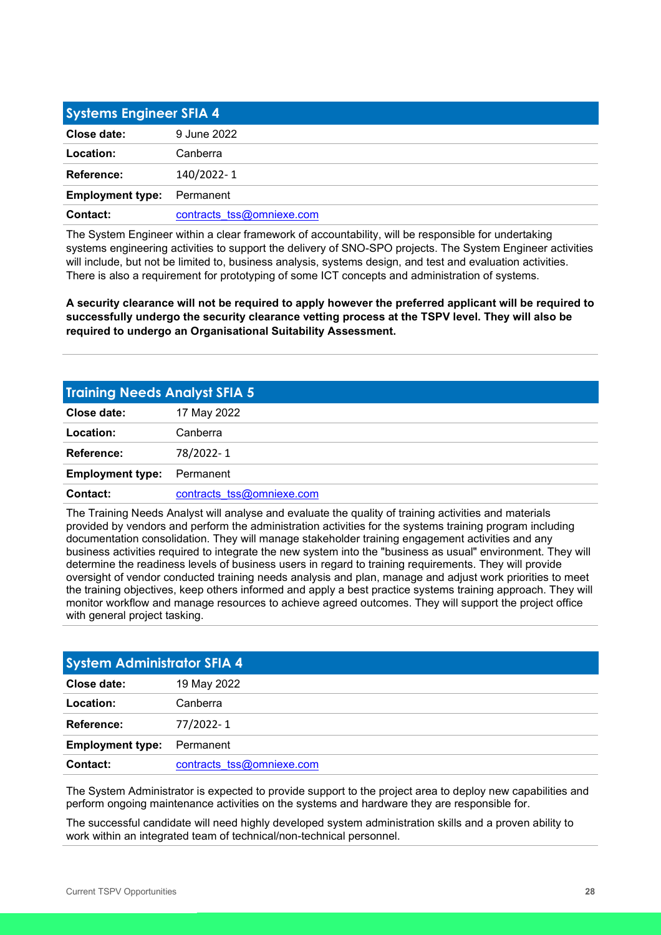<span id="page-27-0"></span>

| <b>Systems Engineer SFIA 4</b> |                           |
|--------------------------------|---------------------------|
| Close date:                    | 9 June 2022               |
| Location:                      | Canberra                  |
| Reference:                     | 140/2022-1                |
| <b>Employment type:</b>        | Permanent                 |
| Contact:                       | contracts tss@omniexe.com |

The System Engineer within a clear framework of accountability, will be responsible for undertaking systems engineering activities to support the delivery of SNO-SPO projects. The System Engineer activities will include, but not be limited to, business analysis, systems design, and test and evaluation activities. There is also a requirement for prototyping of some ICT concepts and administration of systems.

**A security clearance will not be required to apply however the preferred applicant will be required to successfully undergo the security clearance vetting process at the TSPV level. They will also be required to undergo an Organisational Suitability Assessment.** 

<span id="page-27-1"></span>

| <b>Training Needs Analyst SFIA 5</b> |                           |
|--------------------------------------|---------------------------|
| Close date:                          | 17 May 2022               |
| Location:                            | Canberra                  |
| <b>Reference:</b>                    | 78/2022-1                 |
| <b>Employment type:</b>              | Permanent                 |
| Contact:                             | contracts tss@omniexe.com |

The Training Needs Analyst will analyse and evaluate the quality of training activities and materials provided by vendors and perform the administration activities for the systems training program including documentation consolidation. They will manage stakeholder training engagement activities and any business activities required to integrate the new system into the "business as usual" environment. They will determine the readiness levels of business users in regard to training requirements. They will provide oversight of vendor conducted training needs analysis and plan, manage and adjust work priorities to meet the training objectives, keep others informed and apply a best practice systems training approach. They will monitor workflow and manage resources to achieve agreed outcomes. They will support the project office with general project tasking.

<span id="page-27-2"></span>

| <b>System Administrator SFIA 4</b> |                           |
|------------------------------------|---------------------------|
| Close date:                        | 19 May 2022               |
| Location:                          | Canberra                  |
| Reference:                         | 77/2022-1                 |
| <b>Employment type:</b>            | Permanent                 |
| Contact:                           | contracts tss@omniexe.com |

The System Administrator is expected to provide support to the project area to deploy new capabilities and perform ongoing maintenance activities on the systems and hardware they are responsible for.

The successful candidate will need highly developed system administration skills and a proven ability to work within an integrated team of technical/non-technical personnel.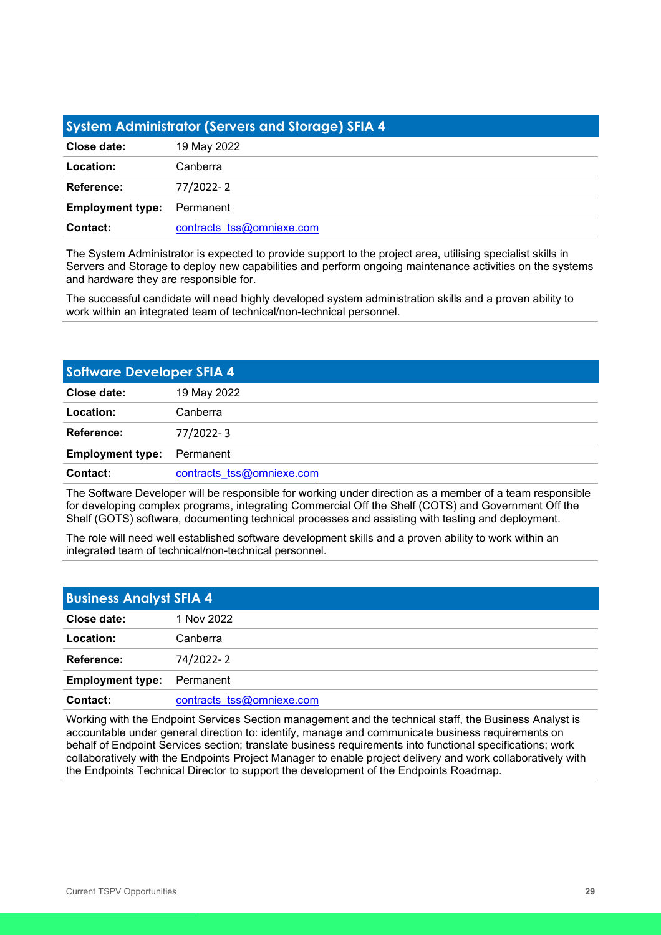<span id="page-28-0"></span>

| System Administrator (Servers and Storage) SFIA 4 |                           |
|---------------------------------------------------|---------------------------|
| Close date:                                       | 19 May 2022               |
| Location:                                         | Canberra                  |
| Reference:                                        | 77/2022-2                 |
| <b>Employment type:</b>                           | Permanent                 |
| Contact:                                          | contracts tss@omniexe.com |

The System Administrator is expected to provide support to the project area, utilising specialist skills in Servers and Storage to deploy new capabilities and perform ongoing maintenance activities on the systems and hardware they are responsible for.

The successful candidate will need highly developed system administration skills and a proven ability to work within an integrated team of technical/non-technical personnel.

<span id="page-28-1"></span>

| <b>Software Developer SFIA 4</b> |                           |
|----------------------------------|---------------------------|
| Close date:                      | 19 May 2022               |
| Location:                        | Canberra                  |
| Reference:                       | 77/2022-3                 |
| <b>Employment type:</b>          | Permanent                 |
| Contact:                         | contracts tss@omniexe.com |

The Software Developer will be responsible for working under direction as a member of a team responsible for developing complex programs, integrating Commercial Off the Shelf (COTS) and Government Off the Shelf (GOTS) software, documenting technical processes and assisting with testing and deployment.

The role will need well established software development skills and a proven ability to work within an integrated team of technical/non-technical personnel.

<span id="page-28-2"></span>

| <b>Business Analyst SFIA 4</b> |                           |
|--------------------------------|---------------------------|
| Close date:                    | 1 Nov 2022                |
| Location:                      | Canberra                  |
| Reference:                     | 74/2022-2                 |
| <b>Employment type:</b>        | Permanent                 |
| Contact:                       | contracts tss@omniexe.com |

Working with the Endpoint Services Section management and the technical staff, the Business Analyst is accountable under general direction to: identify, manage and communicate business requirements on behalf of Endpoint Services section; translate business requirements into functional specifications; work collaboratively with the Endpoints Project Manager to enable project delivery and work collaboratively with the Endpoints Technical Director to support the development of the Endpoints Roadmap.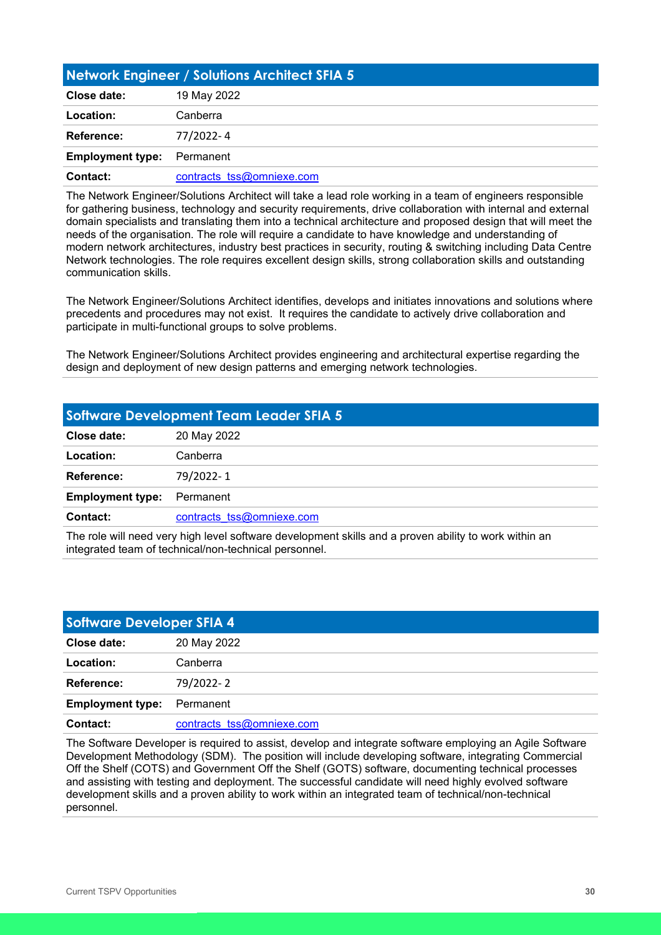<span id="page-29-0"></span>

| Network Engineer / Solutions Architect SFIA 5 |                           |
|-----------------------------------------------|---------------------------|
| Close date:                                   | 19 May 2022               |
| Location:                                     | Canberra                  |
| <b>Reference:</b>                             | 77/2022-4                 |
| <b>Employment type:</b>                       | Permanent                 |
| Contact:                                      | contracts tss@omniexe.com |

The Network Engineer/Solutions Architect will take a lead role working in a team of engineers responsible for gathering business, technology and security requirements, drive collaboration with internal and external domain specialists and translating them into a technical architecture and proposed design that will meet the needs of the organisation. The role will require a candidate to have knowledge and understanding of modern network architectures, industry best practices in security, routing & switching including Data Centre Network technologies. The role requires excellent design skills, strong collaboration skills and outstanding communication skills.

The Network Engineer/Solutions Architect identifies, develops and initiates innovations and solutions where precedents and procedures may not exist. It requires the candidate to actively drive collaboration and participate in multi-functional groups to solve problems.

The Network Engineer/Solutions Architect provides engineering and architectural expertise regarding the design and deployment of new design patterns and emerging network technologies.

<span id="page-29-1"></span>

| <b>Software Development Team Leader SFIA 5</b> |                           |
|------------------------------------------------|---------------------------|
| Close date:                                    | 20 May 2022               |
| Location:                                      | Canberra                  |
| Reference:                                     | 79/2022-1                 |
| <b>Employment type:</b>                        | Permanent                 |
| Contact:                                       | contracts tss@omniexe.com |
|                                                |                           |

The role will need very high level software development skills and a proven ability to work within an integrated team of technical/non-technical personnel.

<span id="page-29-2"></span>

| <b>Software Developer SFIA 4</b> |                           |
|----------------------------------|---------------------------|
| Close date:                      | 20 May 2022               |
| Location:                        | Canberra                  |
| Reference:                       | 79/2022-2                 |
| <b>Employment type:</b>          | Permanent                 |
| Contact:                         | contracts tss@omniexe.com |

The Software Developer is required to assist, develop and integrate software employing an Agile Software Development Methodology (SDM). The position will include developing software, integrating Commercial Off the Shelf (COTS) and Government Off the Shelf (GOTS) software, documenting technical processes and assisting with testing and deployment. The successful candidate will need highly evolved software development skills and a proven ability to work within an integrated team of technical/non-technical personnel.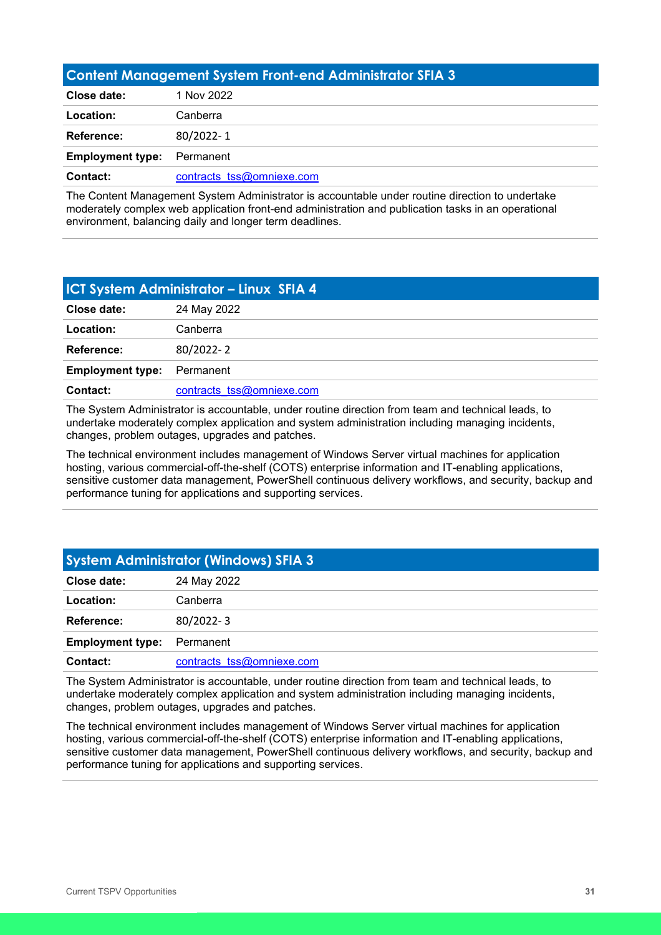<span id="page-30-0"></span>

| <b>Content Management System Front-end Administrator SFIA 3</b> |                           |
|-----------------------------------------------------------------|---------------------------|
| Close date:                                                     | 1 Nov 2022                |
| Location:                                                       | Canberra                  |
| <b>Reference:</b>                                               | 80/2022-1                 |
| <b>Employment type:</b>                                         | Permanent                 |
| Contact:                                                        | contracts tss@omniexe.com |

The Content Management System Administrator is accountable under routine direction to undertake moderately complex web application front-end administration and publication tasks in an operational environment, balancing daily and longer term deadlines.

<span id="page-30-1"></span>

| <b>ICT System Administrator - Linux SFIA 4</b> |                           |
|------------------------------------------------|---------------------------|
| Close date:                                    | 24 May 2022               |
| Location:                                      | Canberra                  |
| Reference:                                     | 80/2022-2                 |
| <b>Employment type:</b>                        | Permanent                 |
| Contact:                                       | contracts tss@omniexe.com |

The System Administrator is accountable, under routine direction from team and technical leads, to undertake moderately complex application and system administration including managing incidents, changes, problem outages, upgrades and patches.

The technical environment includes management of Windows Server virtual machines for application hosting, various commercial-off-the-shelf (COTS) enterprise information and IT-enabling applications, sensitive customer data management, PowerShell continuous delivery workflows, and security, backup and performance tuning for applications and supporting services.

<span id="page-30-2"></span>

| <b>System Administrator (Windows) SFIA 3</b> |                           |
|----------------------------------------------|---------------------------|
| Close date:                                  | 24 May 2022               |
| Location:                                    | Canberra                  |
| <b>Reference:</b>                            | 80/2022-3                 |
| <b>Employment type:</b>                      | Permanent                 |
| Contact:                                     | contracts tss@omniexe.com |

The System Administrator is accountable, under routine direction from team and technical leads, to undertake moderately complex application and system administration including managing incidents, changes, problem outages, upgrades and patches.

The technical environment includes management of Windows Server virtual machines for application hosting, various commercial-off-the-shelf (COTS) enterprise information and IT-enabling applications, sensitive customer data management, PowerShell continuous delivery workflows, and security, backup and performance tuning for applications and supporting services.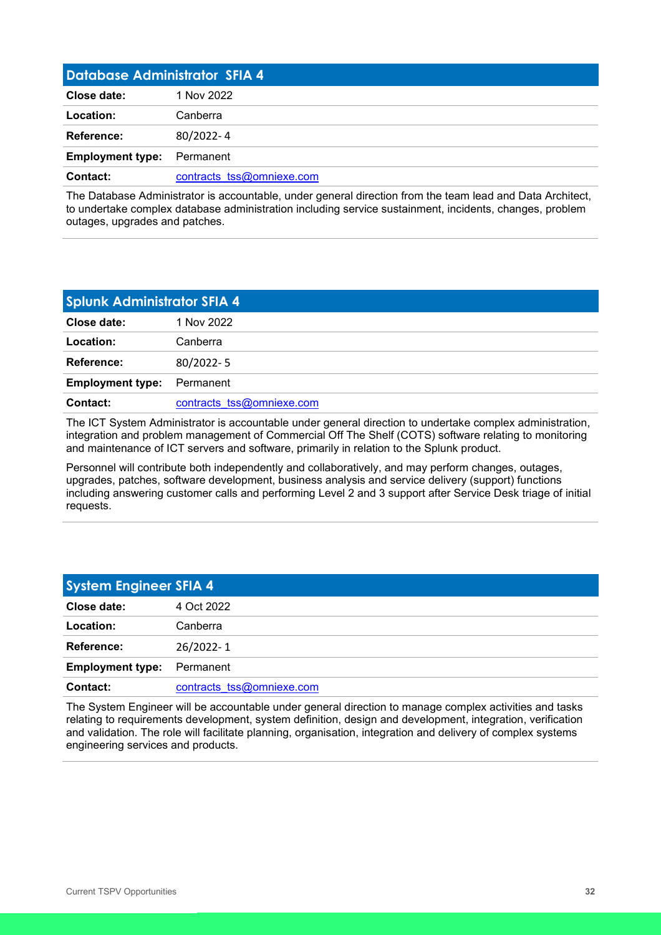<span id="page-31-0"></span>

| <b>Database Administrator SFIA 4</b> |                           |
|--------------------------------------|---------------------------|
| Close date:                          | 1 Nov 2022                |
| Location:                            | Canberra                  |
| Reference:                           | 80/2022-4                 |
| <b>Employment type:</b>              | Permanent                 |
| Contact:                             | contracts tss@omniexe.com |

The Database Administrator is accountable, under general direction from the team lead and Data Architect, to undertake complex database administration including service sustainment, incidents, changes, problem outages, upgrades and patches.

<span id="page-31-1"></span>

| <b>Splunk Administrator SFIA 4</b> |                           |
|------------------------------------|---------------------------|
| Close date:                        | 1 Nov 2022                |
| Location:                          | Canberra                  |
| <b>Reference:</b>                  | 80/2022-5                 |
| <b>Employment type:</b>            | Permanent                 |
| <b>Contact:</b>                    | contracts tss@omniexe.com |

The ICT System Administrator is accountable under general direction to undertake complex administration, integration and problem management of Commercial Off The Shelf (COTS) software relating to monitoring and maintenance of ICT servers and software, primarily in relation to the Splunk product.

Personnel will contribute both independently and collaboratively, and may perform changes, outages, upgrades, patches, software development, business analysis and service delivery (support) functions including answering customer calls and performing Level 2 and 3 support after Service Desk triage of initial requests.

<span id="page-31-2"></span>

| <b>System Engineer SFIA 4</b> |                           |
|-------------------------------|---------------------------|
| Close date:                   | 4 Oct 2022                |
| Location:                     | Canberra                  |
| Reference:                    | 26/2022-1                 |
| <b>Employment type:</b>       | Permanent                 |
| Contact:                      | contracts tss@omniexe.com |

The System Engineer will be accountable under general direction to manage complex activities and tasks relating to requirements development, system definition, design and development, integration, verification and validation. The role will facilitate planning, organisation, integration and delivery of complex systems engineering services and products.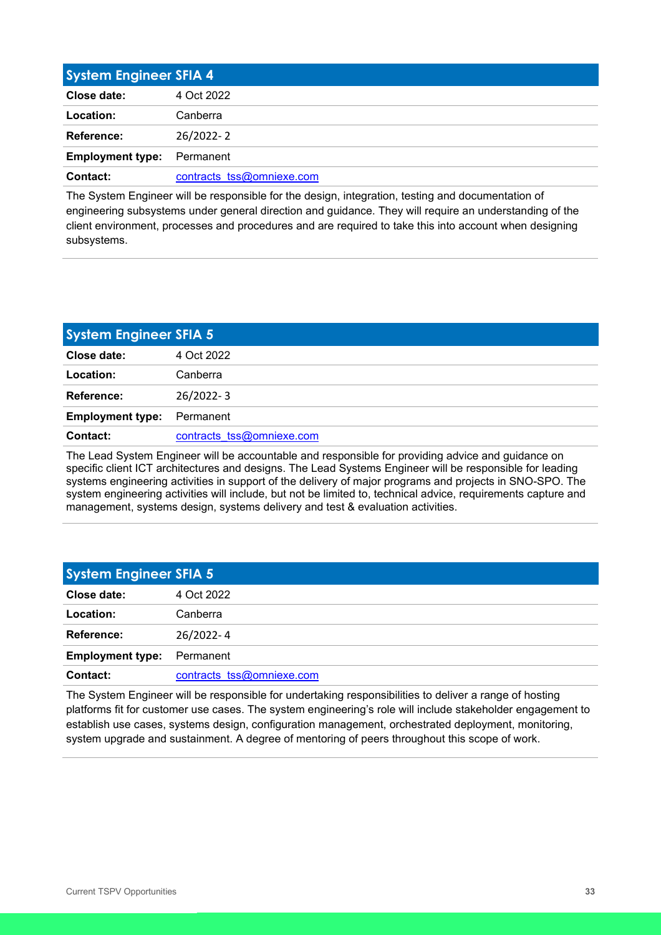<span id="page-32-0"></span>

| <b>System Engineer SFIA 4</b> |                           |
|-------------------------------|---------------------------|
| Close date:                   | 4 Oct 2022                |
| Location:                     | Canberra                  |
| Reference:                    | 26/2022-2                 |
| <b>Employment type:</b>       | Permanent                 |
| Contact:                      | contracts tss@omniexe.com |

The System Engineer will be responsible for the design, integration, testing and documentation of engineering subsystems under general direction and guidance. They will require an understanding of the client environment, processes and procedures and are required to take this into account when designing subsystems.

<span id="page-32-1"></span>

| <b>System Engineer SFIA 5</b> |                           |
|-------------------------------|---------------------------|
| Close date:                   | 4 Oct 2022                |
| Location:                     | Canberra                  |
| Reference:                    | 26/2022-3                 |
| <b>Employment type:</b>       | Permanent                 |
| Contact:                      | contracts tss@omniexe.com |

The Lead System Engineer will be accountable and responsible for providing advice and guidance on specific client ICT architectures and designs. The Lead Systems Engineer will be responsible for leading systems engineering activities in support of the delivery of major programs and projects in SNO-SPO. The system engineering activities will include, but not be limited to, technical advice, requirements capture and management, systems design, systems delivery and test & evaluation activities.

<span id="page-32-2"></span>

| <b>System Engineer SFIA 5</b> |                           |
|-------------------------------|---------------------------|
| Close date:                   | 4 Oct 2022                |
| Location:                     | Canberra                  |
| Reference:                    | 26/2022-4                 |
| <b>Employment type:</b>       | Permanent                 |
| Contact:                      | contracts tss@omniexe.com |

The System Engineer will be responsible for undertaking responsibilities to deliver a range of hosting platforms fit for customer use cases. The system engineering's role will include stakeholder engagement to establish use cases, systems design, configuration management, orchestrated deployment, monitoring, system upgrade and sustainment. A degree of mentoring of peers throughout this scope of work.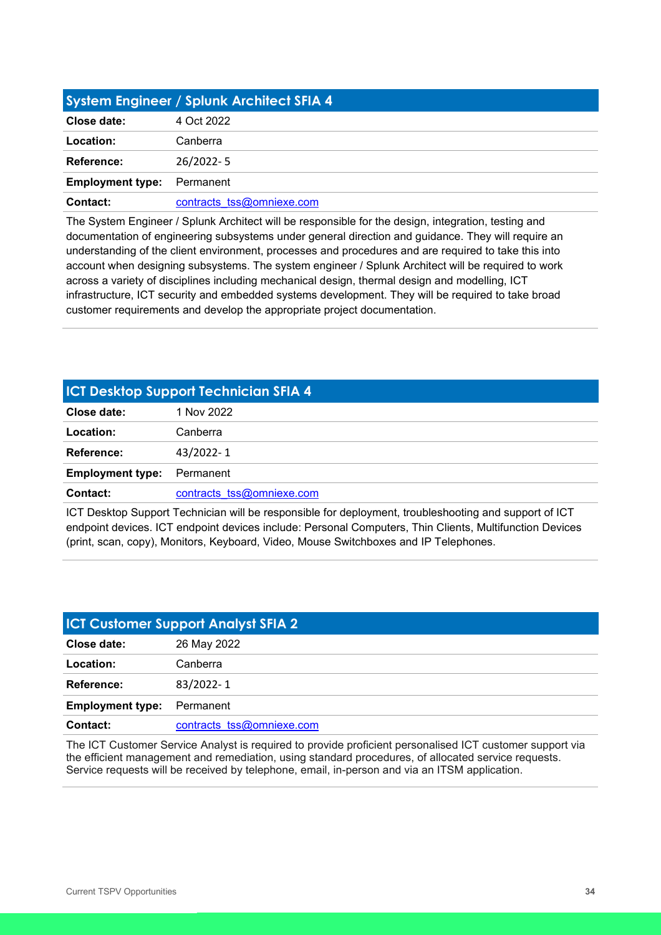<span id="page-33-0"></span>

| System Engineer / Splunk Architect SFIA 4 |                           |
|-------------------------------------------|---------------------------|
| Close date:                               | 4 Oct 2022                |
| Location:                                 | Canberra                  |
| Reference:                                | 26/2022-5                 |
| <b>Employment type:</b>                   | Permanent                 |
| Contact:                                  | contracts tss@omniexe.com |

The System Engineer / Splunk Architect will be responsible for the design, integration, testing and documentation of engineering subsystems under general direction and guidance. They will require an understanding of the client environment, processes and procedures and are required to take this into account when designing subsystems. The system engineer / Splunk Architect will be required to work across a variety of disciplines including mechanical design, thermal design and modelling, ICT infrastructure, ICT security and embedded systems development. They will be required to take broad customer requirements and develop the appropriate project documentation.

## <span id="page-33-1"></span>**ICT Desktop Support Technician SFIA 4 Close date:** 1 Nov 2022 **Location:** Canberra **Reference:** 43/2022- 1 **Employment type:** Permanent **Contact:** contracts tss@omniexe.com

ICT Desktop Support Technician will be responsible for deployment, troubleshooting and support of ICT endpoint devices. ICT endpoint devices include: Personal Computers, Thin Clients, Multifunction Devices (print, scan, copy), Monitors, Keyboard, Video, Mouse Switchboxes and IP Telephones.

<span id="page-33-2"></span>

| <b>ICT Customer Support Analyst SFIA 2</b> |                           |
|--------------------------------------------|---------------------------|
| Close date:                                | 26 May 2022               |
| Location:                                  | Canberra                  |
| Reference:                                 | 83/2022-1                 |
| <b>Employment type:</b>                    | Permanent                 |
| Contact:                                   | contracts tss@omniexe.com |

The ICT Customer Service Analyst is required to provide proficient personalised ICT customer support via the efficient management and remediation, using standard procedures, of allocated service requests. Service requests will be received by telephone, email, in-person and via an ITSM application.